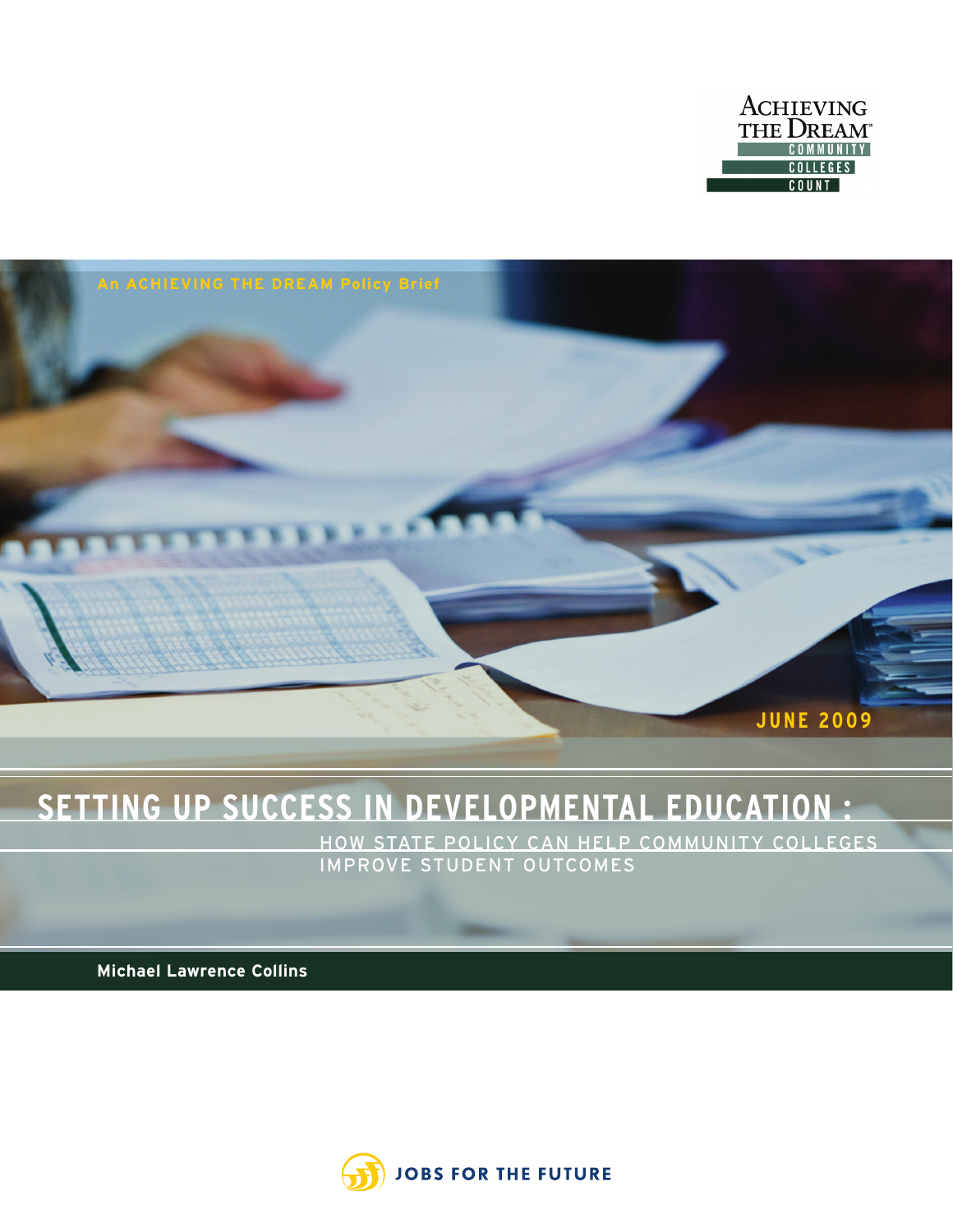



# **SETTING UP SUCCESS IN DEVELOPMENTAL EDUCATION :**

HOW STATE POLICY CAN HELP COMMUNITY COLLEGES IMPROVE STUDENT OUTCOMES

**Michael Lawrence Collins**

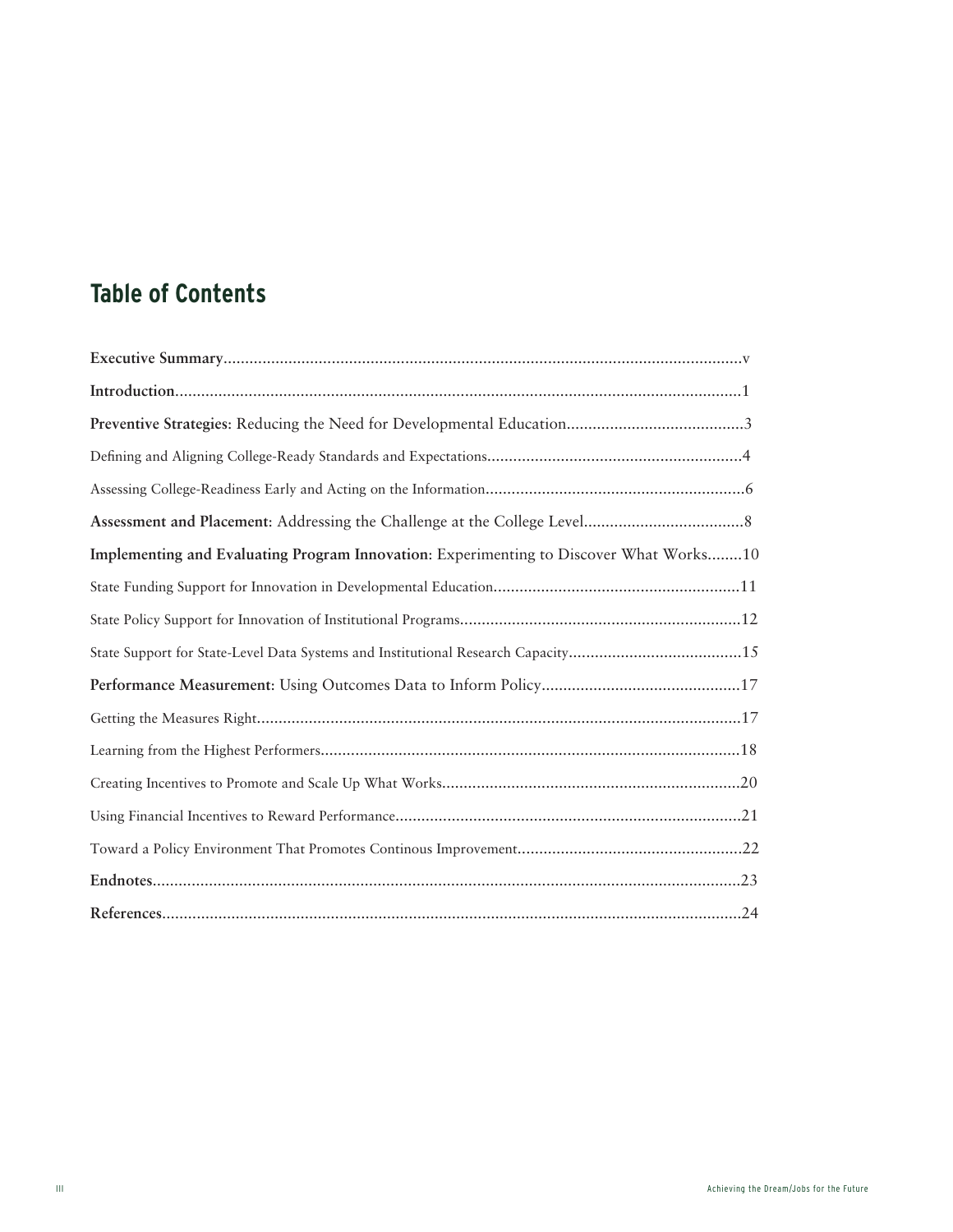# **Table of Contents**

| Implementing and Evaluating Program Innovation: Experimenting to Discover What Works10 |
|----------------------------------------------------------------------------------------|
|                                                                                        |
|                                                                                        |
| State Support for State-Level Data Systems and Institutional Research Capacity15       |
|                                                                                        |
|                                                                                        |
|                                                                                        |
|                                                                                        |
|                                                                                        |
|                                                                                        |
|                                                                                        |
|                                                                                        |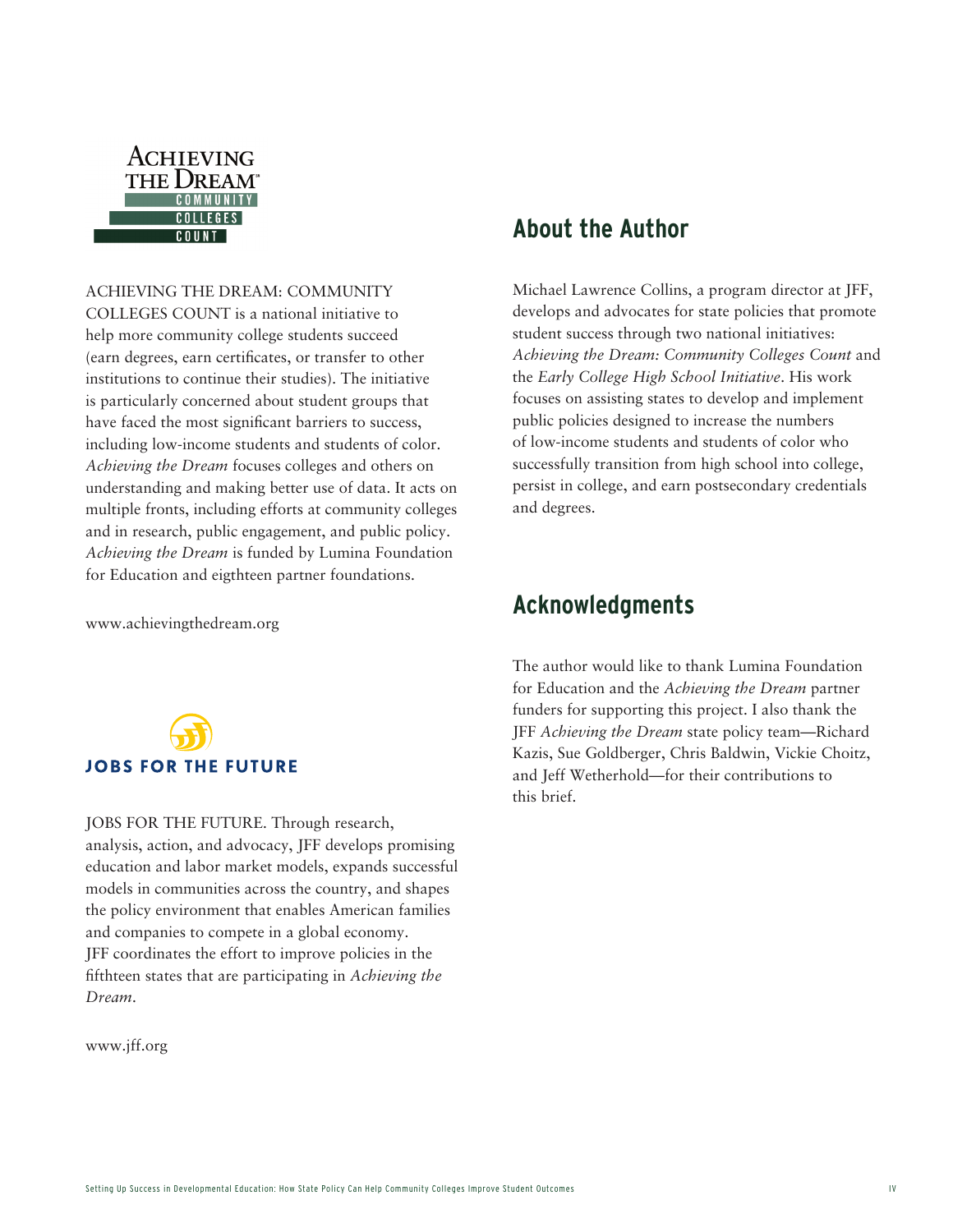

ACHIEVING THE DREAM: COMMUNITY COLLEGES COUNT is a national initiative to help more community college students succeed (earn degrees, earn certificates, or transfer to other institutions to continue their studies). The initiative

is particularly concerned about student groups that have faced the most significant barriers to success, including low-income students and students of color. *Achieving the Dream* focuses colleges and others on understanding and making better use of data. It acts on multiple fronts, including efforts at community colleges and in research, public engagement, and public policy. *Achieving the Dream* is funded by Lumina Foundation for Education and eigthteen partner foundations.

www.achievingthedream.org



JOBS FOR THE FUTURE. Through research, analysis, action, and advocacy, JFF develops promising education and labor market models, expands successful models in communities across the country, and shapes the policy environment that enables American families and companies to compete in a global economy. JFF coordinates the effort to improve policies in the fifthteen states that are participating in *Achieving the Dream*.

www.jff.org

### **About the Author**

Michael Lawrence Collins, a program director at JFF, develops and advocates for state policies that promote student success through two national initiatives: *Achieving the Dream: Community Colleges Count* and the *Early College High School Initiative*. His work focuses on assisting states to develop and implement public policies designed to increase the numbers of low-income students and students of color who successfully transition from high school into college, persist in college, and earn postsecondary credentials and degrees.

### **Acknowledgments**

The author would like to thank Lumina Foundation for Education and the *Achieving the Dream* partner funders for supporting this project. I also thank the JFF *Achieving the Dream* state policy team—Richard Kazis, Sue Goldberger, Chris Baldwin, Vickie Choitz, and Jeff Wetherhold—for their contributions to this brief.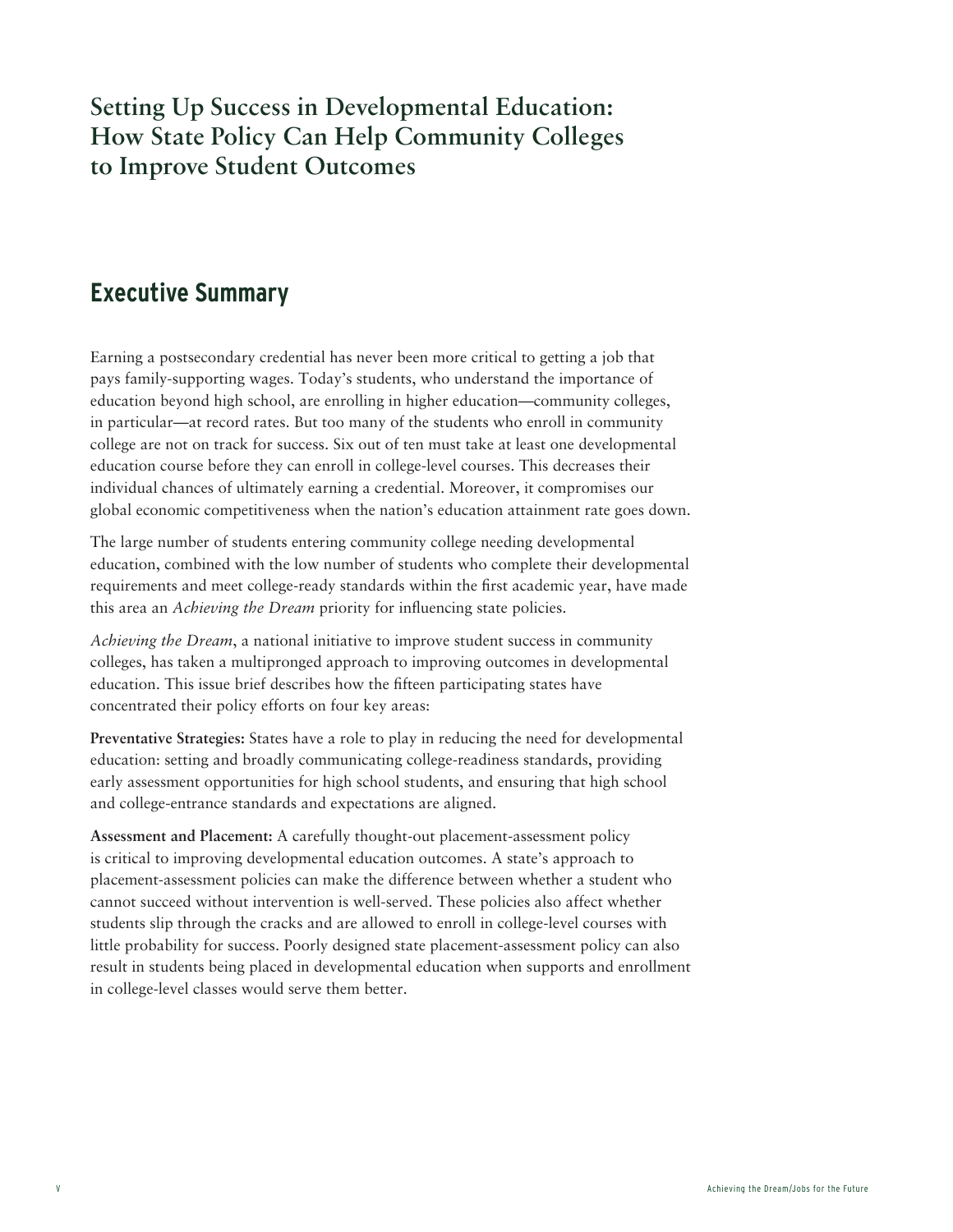# **Setting Up Success in Developmental Education: How State Policy Can Help Community Colleges to Improve Student Outcomes**

# **Executive Summary**

Earning a postsecondary credential has never been more critical to getting a job that pays family-supporting wages. Today's students, who understand the importance of education beyond high school, are enrolling in higher education—community colleges, in particular—at record rates. But too many of the students who enroll in community college are not on track for success. Six out of ten must take at least one developmental education course before they can enroll in college-level courses. This decreases their individual chances of ultimately earning a credential. Moreover, it compromises our global economic competitiveness when the nation's education attainment rate goes down.

The large number of students entering community college needing developmental education, combined with the low number of students who complete their developmental requirements and meet college-ready standards within the first academic year, have made this area an *Achieving the Dream* priority for influencing state policies.

*Achieving the Dream*, a national initiative to improve student success in community colleges, has taken a multipronged approach to improving outcomes in developmental education. This issue brief describes how the fifteen participating states have concentrated their policy efforts on four key areas:

**Preventative Strategies:** States have a role to play in reducing the need for developmental education: setting and broadly communicating college-readiness standards, providing early assessment opportunities for high school students, and ensuring that high school and college-entrance standards and expectations are aligned.

**Assessment and Placement:** A carefully thought-out placement-assessment policy is critical to improving developmental education outcomes. A state's approach to placement-assessment policies can make the difference between whether a student who cannot succeed without intervention is well-served. These policies also affect whether students slip through the cracks and are allowed to enroll in college-level courses with little probability for success. Poorly designed state placement-assessment policy can also result in students being placed in developmental education when supports and enrollment in college-level classes would serve them better.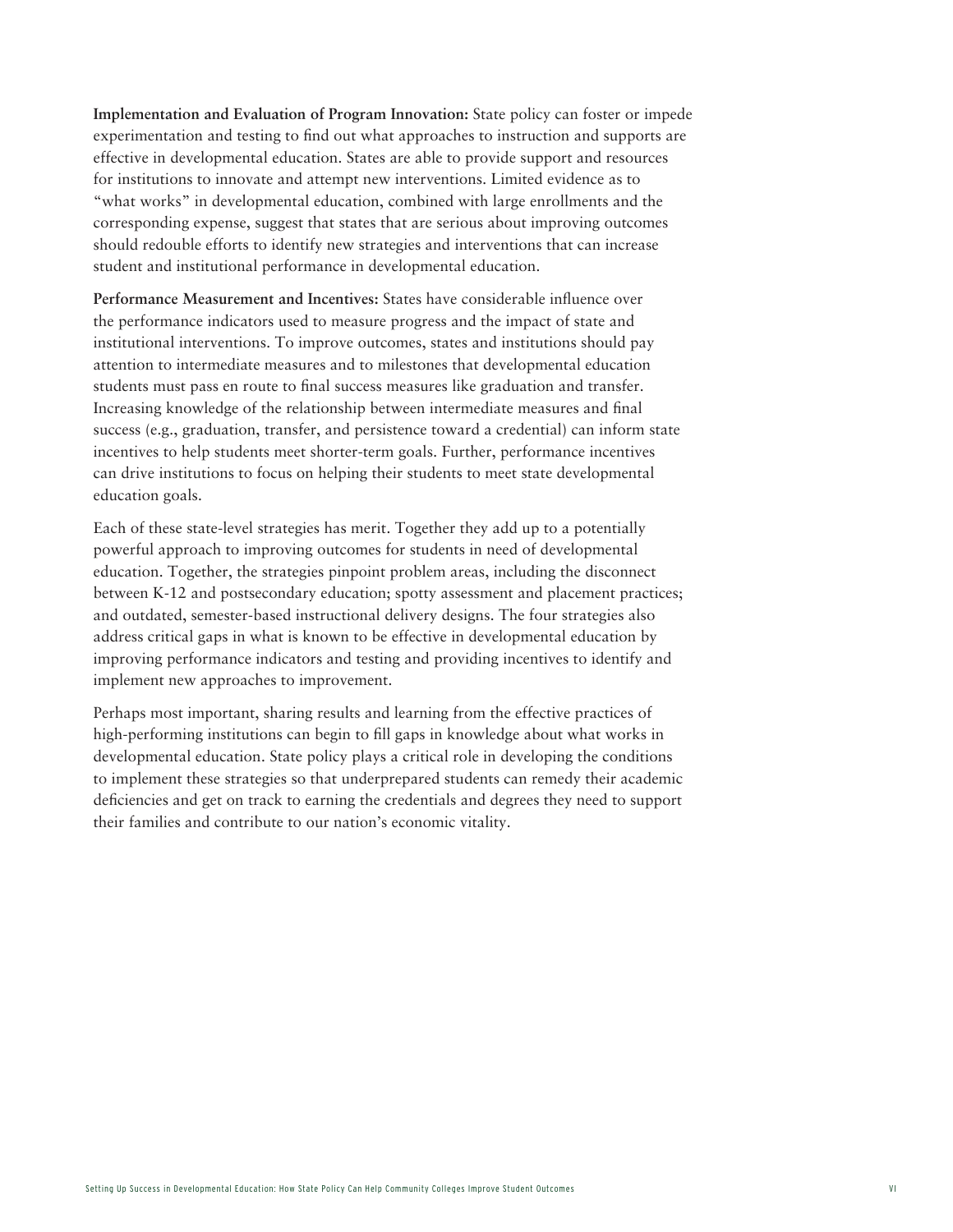**Implementation and Evaluation of Program Innovation:** State policy can foster or impede experimentation and testing to find out what approaches to instruction and supports are effective in developmental education. States are able to provide support and resources for institutions to innovate and attempt new interventions. Limited evidence as to "what works" in developmental education, combined with large enrollments and the corresponding expense, suggest that states that are serious about improving outcomes should redouble efforts to identify new strategies and interventions that can increase student and institutional performance in developmental education.

**Performance Measurement and Incentives:** States have considerable influence over the performance indicators used to measure progress and the impact of state and institutional interventions. To improve outcomes, states and institutions should pay attention to intermediate measures and to milestones that developmental education students must pass en route to final success measures like graduation and transfer. Increasing knowledge of the relationship between intermediate measures and final success (e.g., graduation, transfer, and persistence toward a credential) can inform state incentives to help students meet shorter-term goals. Further, performance incentives can drive institutions to focus on helping their students to meet state developmental education goals.

Each of these state-level strategies has merit. Together they add up to a potentially powerful approach to improving outcomes for students in need of developmental education. Together, the strategies pinpoint problem areas, including the disconnect between K-12 and postsecondary education; spotty assessment and placement practices; and outdated, semester-based instructional delivery designs. The four strategies also address critical gaps in what is known to be effective in developmental education by improving performance indicators and testing and providing incentives to identify and implement new approaches to improvement.

Perhaps most important, sharing results and learning from the effective practices of high-performing institutions can begin to fill gaps in knowledge about what works in developmental education. State policy plays a critical role in developing the conditions to implement these strategies so that underprepared students can remedy their academic deficiencies and get on track to earning the credentials and degrees they need to support their families and contribute to our nation's economic vitality.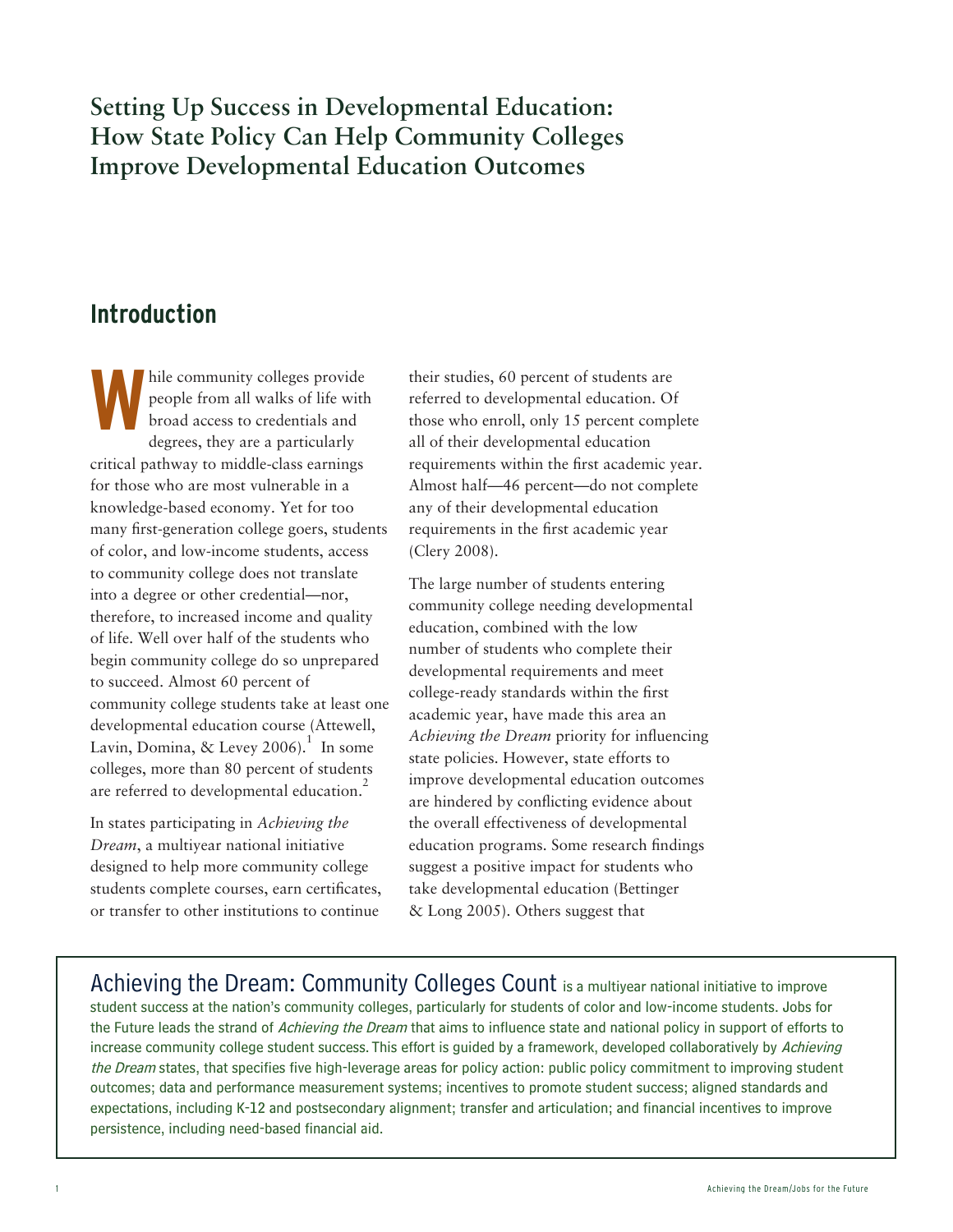# **Setting Up Success in Developmental Education: How State Policy Can Help Community Colleges Improve Developmental Education Outcomes**

# **Introduction**

hile community colleges provide people from all walks of life with broad access to credentials and degrees, they are a particularly critical pathway to middle-class earnings for those who are most vulnerable in a knowledge-based economy. Yet for too many first-generation college goers, students of color, and low-income students, access to community college does not translate into a degree or other credential—nor, therefore, to increased income and quality of life. Well over half of the students who begin community college do so unprepared to succeed. Almost 60 percent of community college students take at least one developmental education course (Attewell, Lavin, Domina, & Levey 2006).<sup>1</sup> In some colleges, more than 80 percent of students are referred to developmental education.<sup>2</sup> **W**

In states participating in *Achieving the Dream*, a multiyear national initiative designed to help more community college students complete courses, earn certificates, or transfer to other institutions to continue

their studies, 60 percent of students are referred to developmental education. Of those who enroll, only 15 percent complete all of their developmental education requirements within the first academic year. Almost half—46 percent—do not complete any of their developmental education requirements in the first academic year (Clery 2008).

The large number of students entering community college needing developmental education, combined with the low number of students who complete their developmental requirements and meet college-ready standards within the first academic year, have made this area an *Achieving the Dream* priority for influencing state policies. However, state efforts to improve developmental education outcomes are hindered by conflicting evidence about the overall effectiveness of developmental education programs. Some research findings suggest a positive impact for students who take developmental education (Bettinger & Long 2005). Others suggest that

Achieving the Dream: Community Colleges Count is a multivear national initiative to improve student success at the nation's community colleges, particularly for students of color and low-income students. Jobs for the Future leads the strand of Achieving the Dream that aims to influence state and national policy in support of efforts to increase community college student success. This effort is guided by a framework, developed collaboratively by Achieving the Dream states, that specifies five high-leverage areas for policy action: public policy commitment to improving student outcomes; data and performance measurement systems; incentives to promote student success; aligned standards and expectations, including K-12 and postsecondary alignment; transfer and articulation; and financial incentives to improve persistence, including need-based financial aid.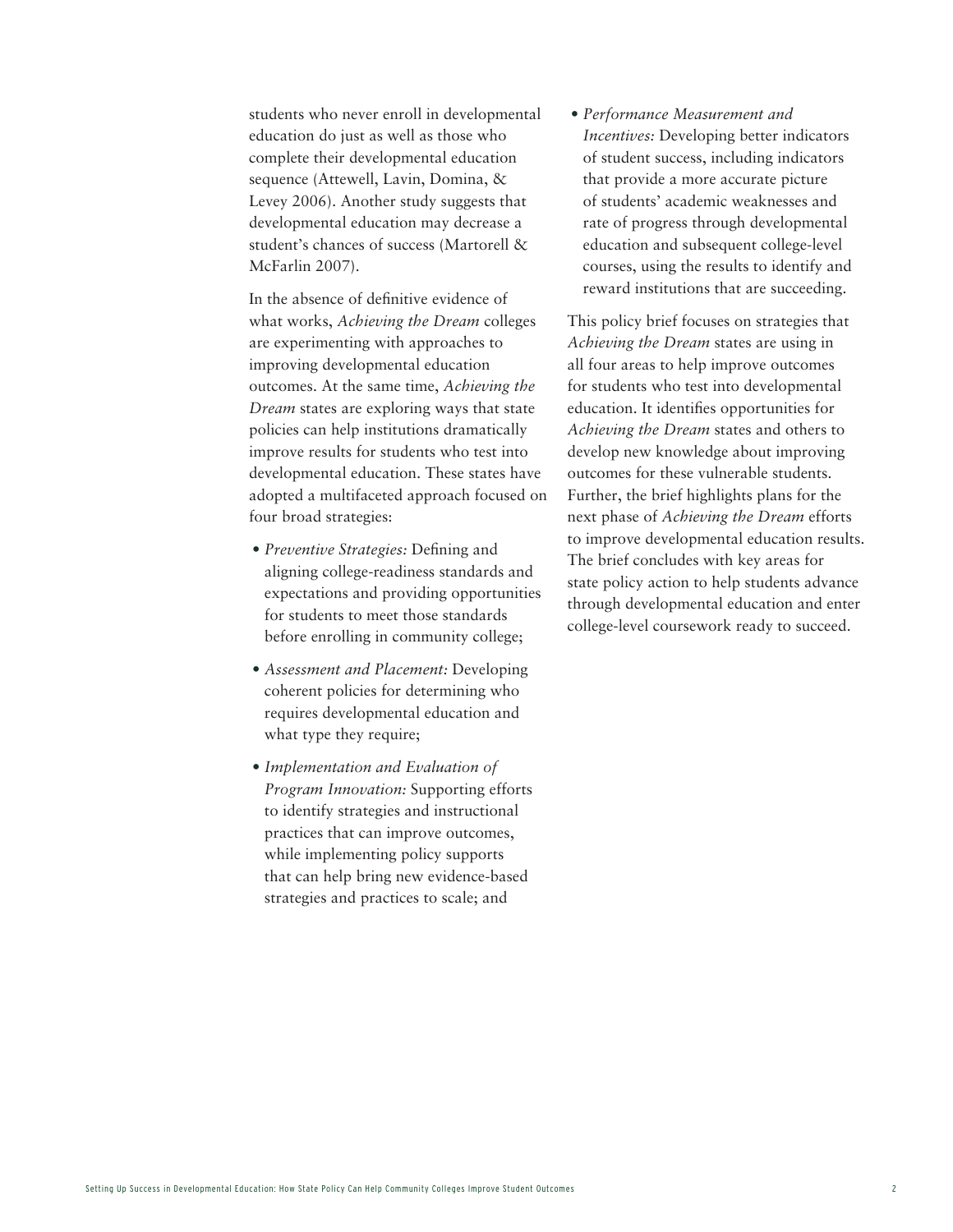students who never enroll in developmental education do just as well as those who complete their developmental education sequence (Attewell, Lavin, Domina, & Levey 2006). Another study suggests that developmental education may decrease a student's chances of success (Martorell & McFarlin 2007).

In the absence of definitive evidence of what works, *Achieving the Dream* colleges are experimenting with approaches to improving developmental education outcomes. At the same time, *Achieving the Dream* states are exploring ways that state policies can help institutions dramatically improve results for students who test into developmental education. These states have adopted a multifaceted approach focused on four broad strategies:

- *• Preventive Strategies:* Defining and aligning college-readiness standards and expectations and providing opportunities for students to meet those standards before enrolling in community college;
- *• Assessment and Placement:* Developing coherent policies for determining who requires developmental education and what type they require;
- *• Implementation and Evaluation of Program Innovation:* Supporting efforts to identify strategies and instructional practices that can improve outcomes, while implementing policy supports that can help bring new evidence-based strategies and practices to scale; and

*• Performance Measurement and Incentives:* Developing better indicators of student success, including indicators that provide a more accurate picture of students' academic weaknesses and rate of progress through developmental education and subsequent college-level courses, using the results to identify and reward institutions that are succeeding.

This policy brief focuses on strategies that *Achieving the Dream* states are using in all four areas to help improve outcomes for students who test into developmental education. It identifies opportunities for *Achieving the Dream* states and others to develop new knowledge about improving outcomes for these vulnerable students. Further, the brief highlights plans for the next phase of *Achieving the Dream* efforts to improve developmental education results. The brief concludes with key areas for state policy action to help students advance through developmental education and enter college-level coursework ready to succeed.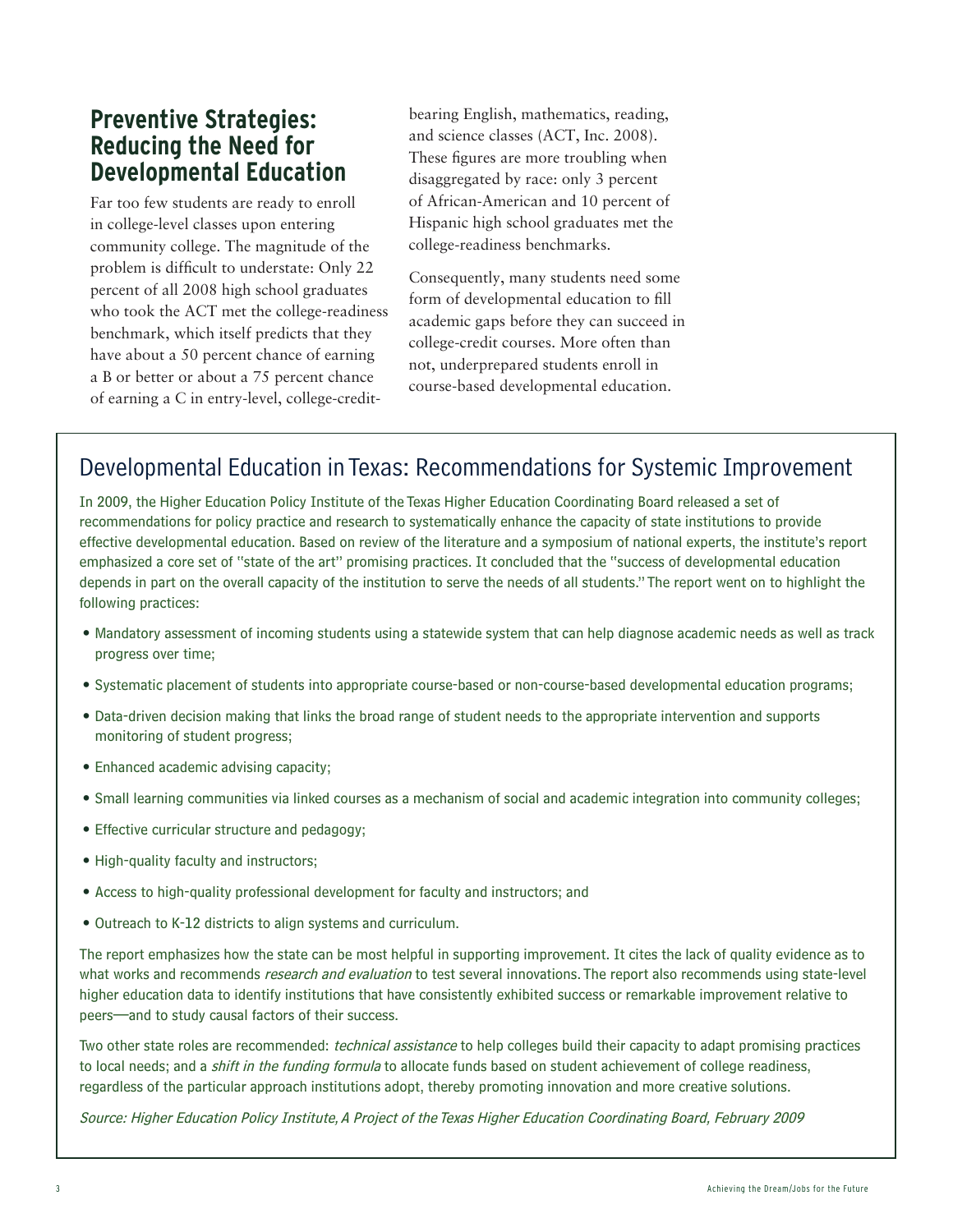# **Preventive Strategies: Reducing the Need for Developmental Education**

Far too few students are ready to enroll in college-level classes upon entering community college. The magnitude of the problem is difficult to understate: Only 22 percent of all 2008 high school graduates who took the ACT met the college-readiness benchmark, which itself predicts that they have about a 50 percent chance of earning a B or better or about a 75 percent chance of earning a C in entry-level, college-credit-

bearing English, mathematics, reading, and science classes (ACT, Inc. 2008). These figures are more troubling when disaggregated by race: only 3 percent of African-American and 10 percent of Hispanic high school graduates met the college-readiness benchmarks.

Consequently, many students need some form of developmental education to fill academic gaps before they can succeed in college-credit courses. More often than not, underprepared students enroll in course-based developmental education.

# Developmental Education in Texas: Recommendations for Systemic Improvement

In 2009, the Higher Education Policy Institute of the Texas Higher Education Coordinating Board released a set of recommendations for policy practice and research to systematically enhance the capacity of state institutions to provide effective developmental education. Based on review of the literature and a symposium of national experts, the institute's report emphasized a core set of "state of the art" promising practices. It concluded that the "success of developmental education depends in part on the overall capacity of the institution to serve the needs of all students." The report went on to highlight the following practices:

- • Mandatory assessment of incoming students using a statewide system that can help diagnose academic needs as well as track progress over time;
- • Systematic placement of students into appropriate course-based or non-course-based developmental education programs;
- Data-driven decision making that links the broad range of student needs to the appropriate intervention and supports monitoring of student progress;
- Enhanced academic advising capacity;
- Small learning communities via linked courses as a mechanism of social and academic integration into community colleges;
- Effective curricular structure and pedagogy;
- High-quality faculty and instructors;
- • Access to high-quality professional development for faculty and instructors; and
- Outreach to K-12 districts to align systems and curriculum.

The report emphasizes how the state can be most helpful in supporting improvement. It cites the lack of quality evidence as to what works and recommends research and evaluation to test several innovations. The report also recommends using state-level higher education data to identify institutions that have consistently exhibited success or remarkable improvement relative to peers—and to study causal factors of their success.

Two other state roles are recommended: *technical assistance* to help colleges build their capacity to adapt promising practices to local needs; and a *shift in the funding formula* to allocate funds based on student achievement of college readiness, regardless of the particular approach institutions adopt, thereby promoting innovation and more creative solutions.

Source: Higher Education Policy Institute, A Project of the Texas Higher Education Coordinating Board, February 2009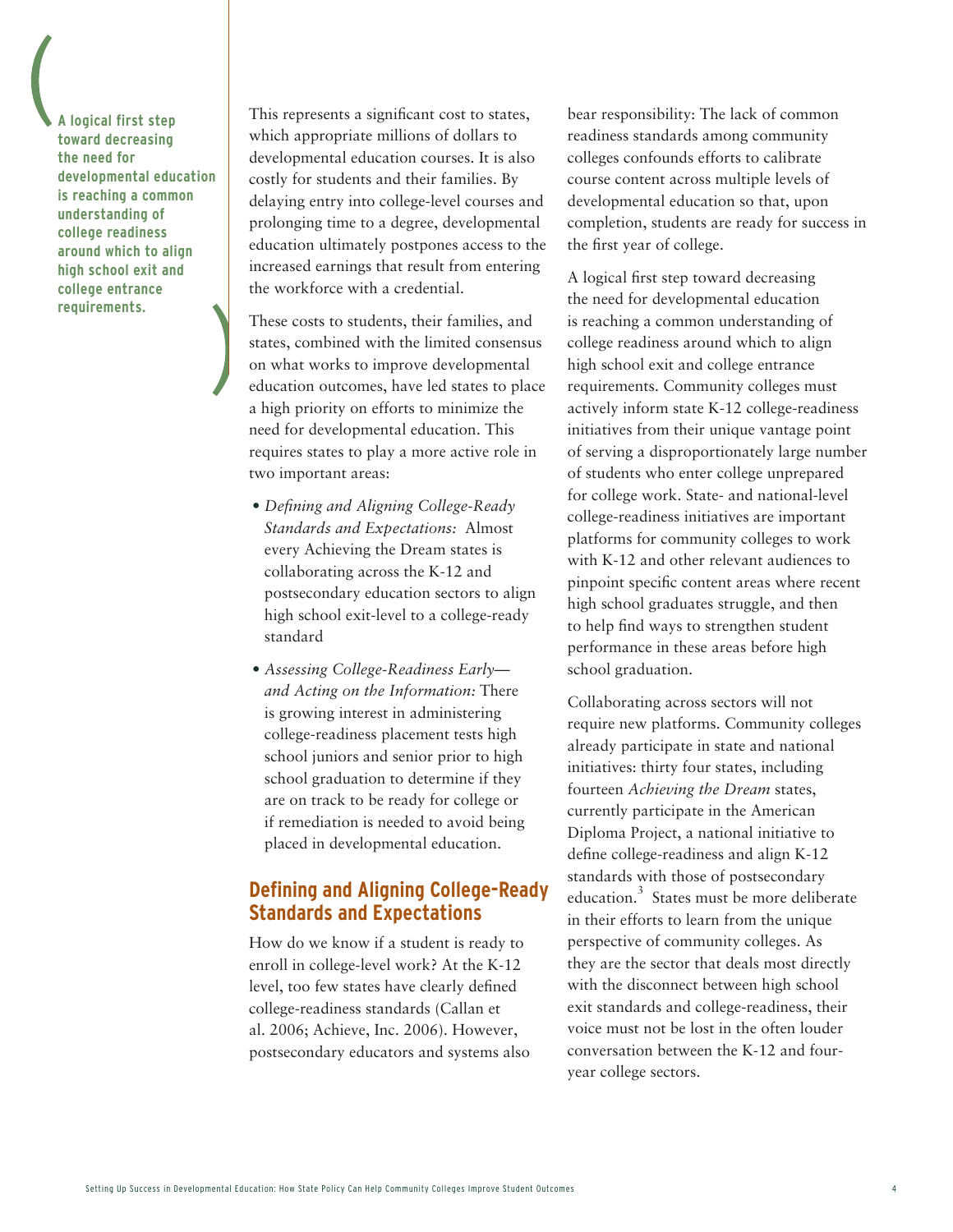**A logical first step toward decreasing the need for developmental education is reaching a common understanding of college readiness around which to align high school exit and college entrance requirements.**

This represents a significant cost to states, which appropriate millions of dollars to developmental education courses. It is also costly for students and their families. By delaying entry into college-level courses and prolonging time to a degree, developmental education ultimately postpones access to the increased earnings that result from entering the workforce with a credential.

These costs to students, their families, and states, combined with the limited consensus on what works to improve developmental education outcomes, have led states to place a high priority on efforts to minimize the need for developmental education. This requires states to play a more active role in two important areas:

- *• Defining and Aligning College-Ready Standards and Expectations:* Almost every Achieving the Dream states is collaborating across the K-12 and postsecondary education sectors to align high school exit-level to a college-ready standard
- *• Assessing College-Readiness Early and Acting on the Information:* There is growing interest in administering college-readiness placement tests high school juniors and senior prior to high school graduation to determine if they are on track to be ready for college or if remediation is needed to avoid being placed in developmental education.

#### **Defining and Aligning College-Ready Standards and Expectations**

How do we know if a student is ready to enroll in college-level work? At the K-12 level, too few states have clearly defined college-readiness standards (Callan et al. 2006; Achieve, Inc. 2006). However, postsecondary educators and systems also

bear responsibility: The lack of common readiness standards among community colleges confounds efforts to calibrate course content across multiple levels of developmental education so that, upon completion, students are ready for success in the first year of college.

A logical first step toward decreasing the need for developmental education is reaching a common understanding of college readiness around which to align high school exit and college entrance requirements. Community colleges must actively inform state K-12 college-readiness initiatives from their unique vantage point of serving a disproportionately large number of students who enter college unprepared for college work. State- and national-level college-readiness initiatives are important platforms for community colleges to work with K-12 and other relevant audiences to pinpoint specific content areas where recent high school graduates struggle, and then to help find ways to strengthen student performance in these areas before high school graduation.

Collaborating across sectors will not require new platforms. Community colleges already participate in state and national initiatives: thirty four states, including fourteen *Achieving the Dream* states, currently participate in the American Diploma Project, a national initiative to define college-readiness and align K-12 standards with those of postsecondary education.<sup>3</sup> States must be more deliberate in their efforts to learn from the unique perspective of community colleges. As they are the sector that deals most directly with the disconnect between high school exit standards and college-readiness, their voice must not be lost in the often louder conversation between the K-12 and fouryear college sectors.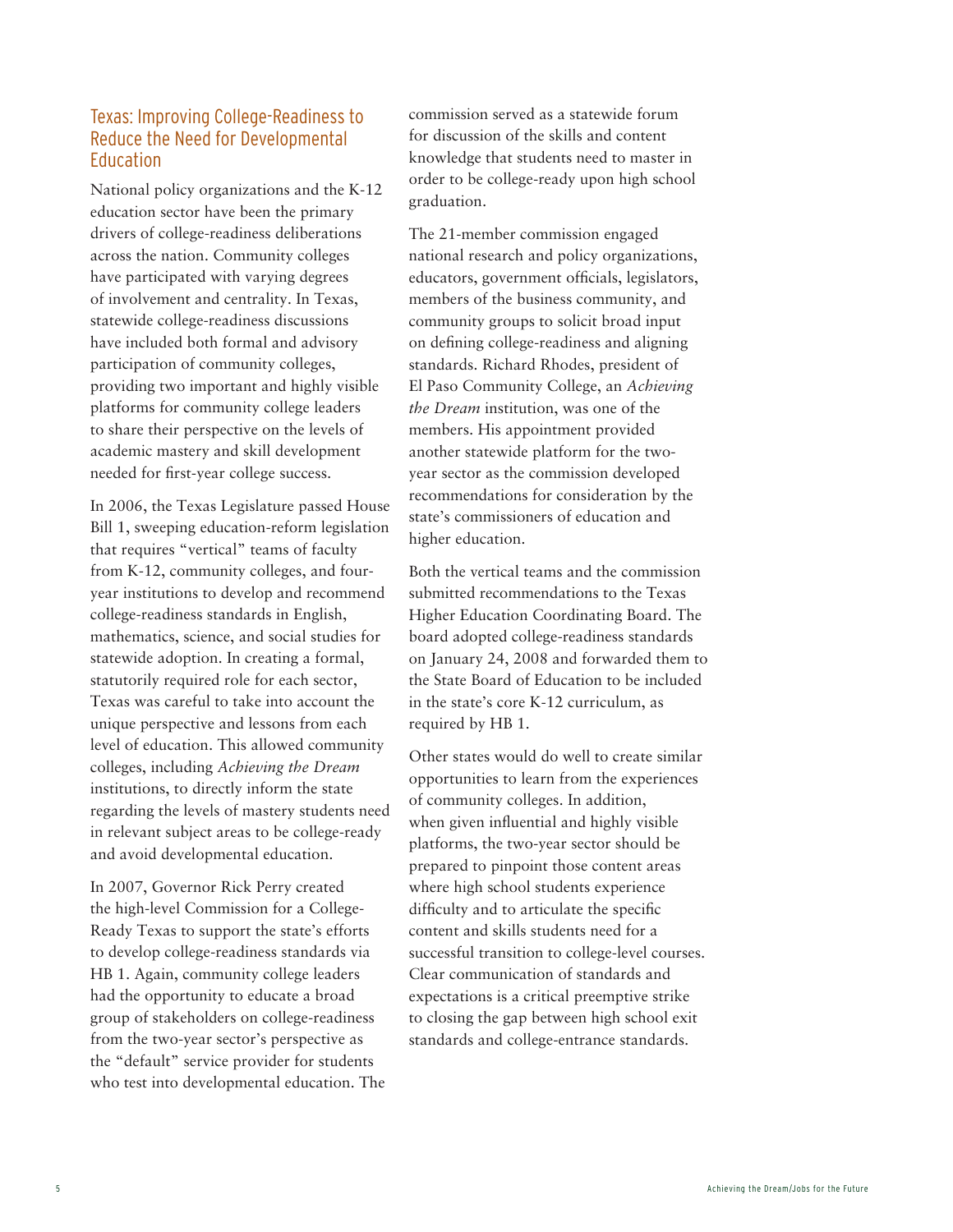#### Texas: Improving College-Readiness to Reduce the Need for Developmental Education

National policy organizations and the K-12 education sector have been the primary drivers of college-readiness deliberations across the nation. Community colleges have participated with varying degrees of involvement and centrality. In Texas, statewide college-readiness discussions have included both formal and advisory participation of community colleges, providing two important and highly visible platforms for community college leaders to share their perspective on the levels of academic mastery and skill development needed for first-year college success.

In 2006, the Texas Legislature passed House Bill 1, sweeping education-reform legislation that requires "vertical" teams of faculty from K-12, community colleges, and fouryear institutions to develop and recommend college-readiness standards in English, mathematics, science, and social studies for statewide adoption. In creating a formal, statutorily required role for each sector, Texas was careful to take into account the unique perspective and lessons from each level of education. This allowed community colleges, including *Achieving the Dream* institutions, to directly inform the state regarding the levels of mastery students need in relevant subject areas to be college-ready and avoid developmental education.

In 2007, Governor Rick Perry created the high-level Commission for a College-Ready Texas to support the state's efforts to develop college-readiness standards via HB 1. Again, community college leaders had the opportunity to educate a broad group of stakeholders on college-readiness from the two-year sector's perspective as the "default" service provider for students who test into developmental education. The commission served as a statewide forum for discussion of the skills and content knowledge that students need to master in order to be college-ready upon high school graduation.

The 21-member commission engaged national research and policy organizations, educators, government officials, legislators, members of the business community, and community groups to solicit broad input on defining college-readiness and aligning standards. Richard Rhodes, president of El Paso Community College, an *Achieving the Dream* institution, was one of the members. His appointment provided another statewide platform for the twoyear sector as the commission developed recommendations for consideration by the state's commissioners of education and higher education.

Both the vertical teams and the commission submitted recommendations to the Texas Higher Education Coordinating Board. The board adopted college-readiness standards on January 24, 2008 and forwarded them to the State Board of Education to be included in the state's core K-12 curriculum, as required by HB 1.

Other states would do well to create similar opportunities to learn from the experiences of community colleges. In addition, when given influential and highly visible platforms, the two-year sector should be prepared to pinpoint those content areas where high school students experience difficulty and to articulate the specific content and skills students need for a successful transition to college-level courses. Clear communication of standards and expectations is a critical preemptive strike to closing the gap between high school exit standards and college-entrance standards.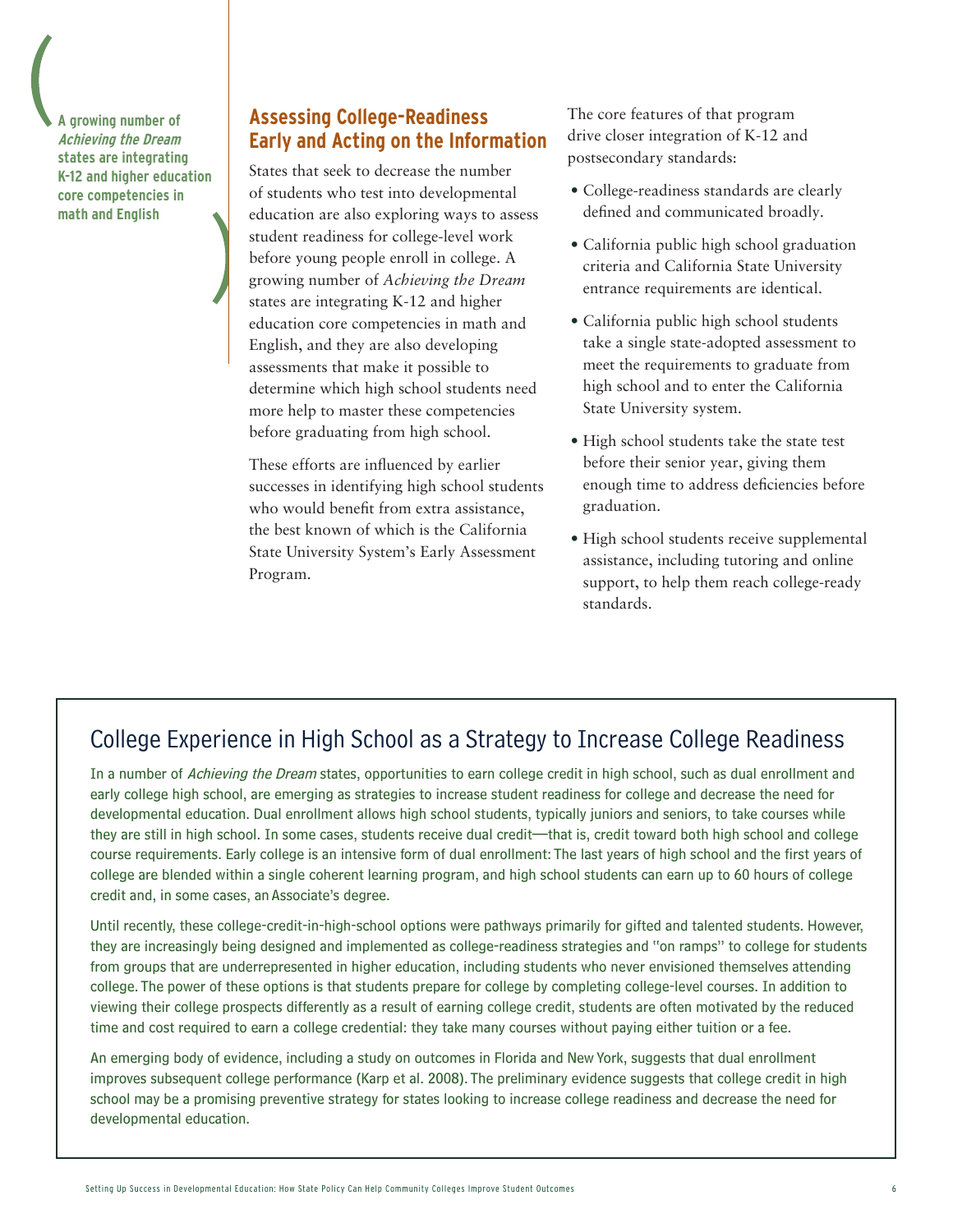**A growing number of Achieving the Dream states are integrating K-12 and higher education core competencies in math and English**

#### **Assessing College-Readiness Early and Acting on the Information**

States that seek to decrease the number of students who test into developmental education are also exploring ways to assess student readiness for college-level work before young people enroll in college. A growing number of *Achieving the Dream* states are integrating K-12 and higher education core competencies in math and English, and they are also developing assessments that make it possible to determine which high school students need more help to master these competencies before graduating from high school.

These efforts are influenced by earlier successes in identifying high school students who would benefit from extra assistance, the best known of which is the California State University System's Early Assessment Program.

The core features of that program drive closer integration of K-12 and postsecondary standards:

- • College-readiness standards are clearly defined and communicated broadly.
- California public high school graduation criteria and California State University entrance requirements are identical.
- California public high school students take a single state-adopted assessment to meet the requirements to graduate from high school and to enter the California State University system.
- • High school students take the state test before their senior year, giving them enough time to address deficiencies before graduation.
- • High school students receive supplemental assistance, including tutoring and online support, to help them reach college-ready standards.

# College Experience in High School as a Strategy to Increase College Readiness

In a number of Achieving the Dream states, opportunities to earn college credit in high school, such as dual enrollment and early college high school, are emerging as strategies to increase student readiness for college and decrease the need for developmental education. Dual enrollment allows high school students, typically juniors and seniors, to take courses while they are still in high school. In some cases, students receive dual credit—that is, credit toward both high school and college course requirements. Early college is an intensive form of dual enrollment: The last years of high school and the first years of college are blended within a single coherent learning program, and high school students can earn up to 60 hours of college credit and, in some cases, an Associate's degree.

Until recently, these college-credit-in-high-school options were pathways primarily for gifted and talented students. However, they are increasingly being designed and implemented as college-readiness strategies and "on ramps" to college for students from groups that are underrepresented in higher education, including students who never envisioned themselves attending college. The power of these options is that students prepare for college by completing college-level courses. In addition to viewing their college prospects differently as a result of earning college credit, students are often motivated by the reduced time and cost required to earn a college credential: they take many courses without paying either tuition or a fee.

An emerging body of evidence, including a study on outcomes in Florida and New York, suggests that dual enrollment improves subsequent college performance (Karp et al. 2008). The preliminary evidence suggests that college credit in high school may be a promising preventive strategy for states looking to increase college readiness and decrease the need for developmental education.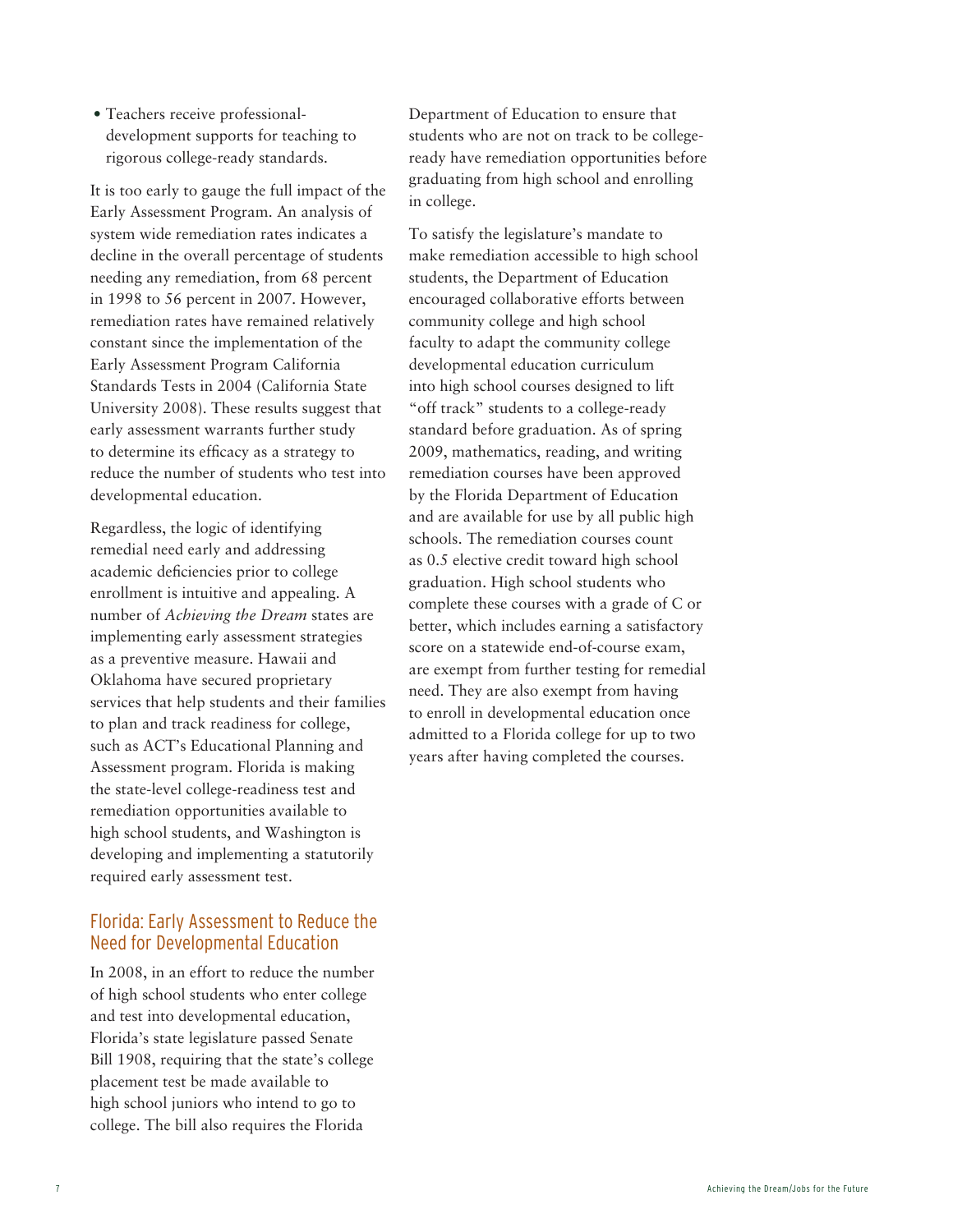• Teachers receive professionaldevelopment supports for teaching to rigorous college-ready standards.

It is too early to gauge the full impact of the Early Assessment Program. An analysis of system wide remediation rates indicates a decline in the overall percentage of students needing any remediation, from 68 percent in 1998 to 56 percent in 2007. However, remediation rates have remained relatively constant since the implementation of the Early Assessment Program California Standards Tests in 2004 (California State University 2008). These results suggest that early assessment warrants further study to determine its efficacy as a strategy to reduce the number of students who test into developmental education.

Regardless, the logic of identifying remedial need early and addressing academic deficiencies prior to college enrollment is intuitive and appealing. A number of *Achieving the Dream* states are implementing early assessment strategies as a preventive measure. Hawaii and Oklahoma have secured proprietary services that help students and their families to plan and track readiness for college, such as ACT's Educational Planning and Assessment program. Florida is making the state-level college-readiness test and remediation opportunities available to high school students, and Washington is developing and implementing a statutorily required early assessment test.

#### Florida: Early Assessment to Reduce the Need for Developmental Education

In 2008, in an effort to reduce the number of high school students who enter college and test into developmental education, Florida's state legislature passed Senate Bill 1908, requiring that the state's college placement test be made available to high school juniors who intend to go to college. The bill also requires the Florida

Department of Education to ensure that students who are not on track to be collegeready have remediation opportunities before graduating from high school and enrolling in college.

To satisfy the legislature's mandate to make remediation accessible to high school students, the Department of Education encouraged collaborative efforts between community college and high school faculty to adapt the community college developmental education curriculum into high school courses designed to lift "off track" students to a college-ready standard before graduation. As of spring 2009, mathematics, reading, and writing remediation courses have been approved by the Florida Department of Education and are available for use by all public high schools. The remediation courses count as 0.5 elective credit toward high school graduation. High school students who complete these courses with a grade of C or better, which includes earning a satisfactory score on a statewide end-of-course exam, are exempt from further testing for remedial need. They are also exempt from having to enroll in developmental education once admitted to a Florida college for up to two years after having completed the courses.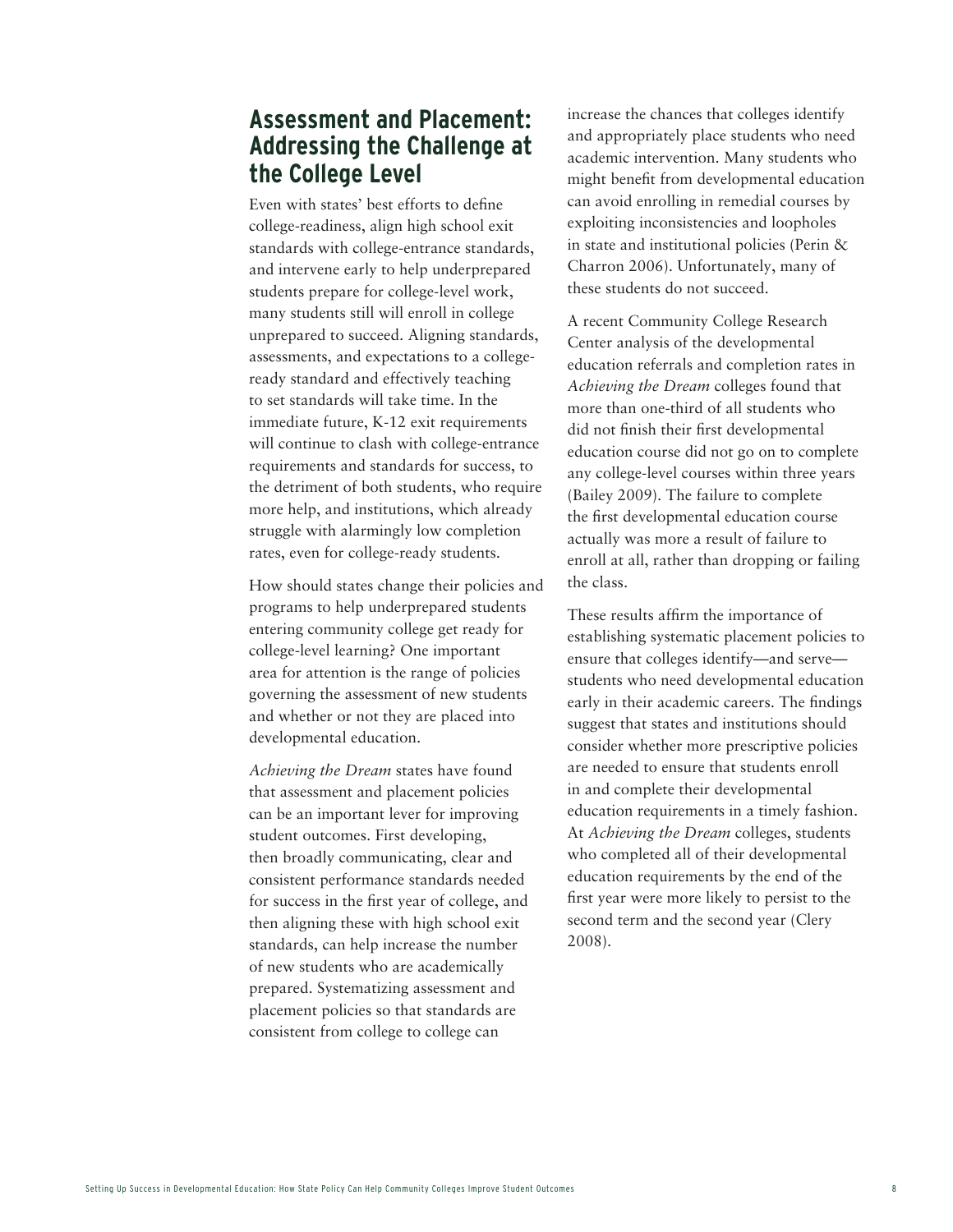## **Assessment and Placement: Addressing the Challenge at the College Level**

Even with states' best efforts to define college-readiness, align high school exit standards with college-entrance standards, and intervene early to help underprepared students prepare for college-level work, many students still will enroll in college unprepared to succeed. Aligning standards, assessments, and expectations to a collegeready standard and effectively teaching to set standards will take time. In the immediate future, K-12 exit requirements will continue to clash with college-entrance requirements and standards for success, to the detriment of both students, who require more help, and institutions, which already struggle with alarmingly low completion rates, even for college-ready students.

How should states change their policies and programs to help underprepared students entering community college get ready for college-level learning? One important area for attention is the range of policies governing the assessment of new students and whether or not they are placed into developmental education.

*Achieving the Dream* states have found that assessment and placement policies can be an important lever for improving student outcomes. First developing, then broadly communicating, clear and consistent performance standards needed for success in the first year of college, and then aligning these with high school exit standards, can help increase the number of new students who are academically prepared. Systematizing assessment and placement policies so that standards are consistent from college to college can

increase the chances that colleges identify and appropriately place students who need academic intervention. Many students who might benefit from developmental education can avoid enrolling in remedial courses by exploiting inconsistencies and loopholes in state and institutional policies (Perin & Charron 2006). Unfortunately, many of these students do not succeed.

A recent Community College Research Center analysis of the developmental education referrals and completion rates in *Achieving the Dream* colleges found that more than one-third of all students who did not finish their first developmental education course did not go on to complete any college-level courses within three years (Bailey 2009). The failure to complete the first developmental education course actually was more a result of failure to enroll at all, rather than dropping or failing the class.

These results affirm the importance of establishing systematic placement policies to ensure that colleges identify—and serve students who need developmental education early in their academic careers. The findings suggest that states and institutions should consider whether more prescriptive policies are needed to ensure that students enroll in and complete their developmental education requirements in a timely fashion. At *Achieving the Dream* colleges, students who completed all of their developmental education requirements by the end of the first year were more likely to persist to the second term and the second year (Clery 2008).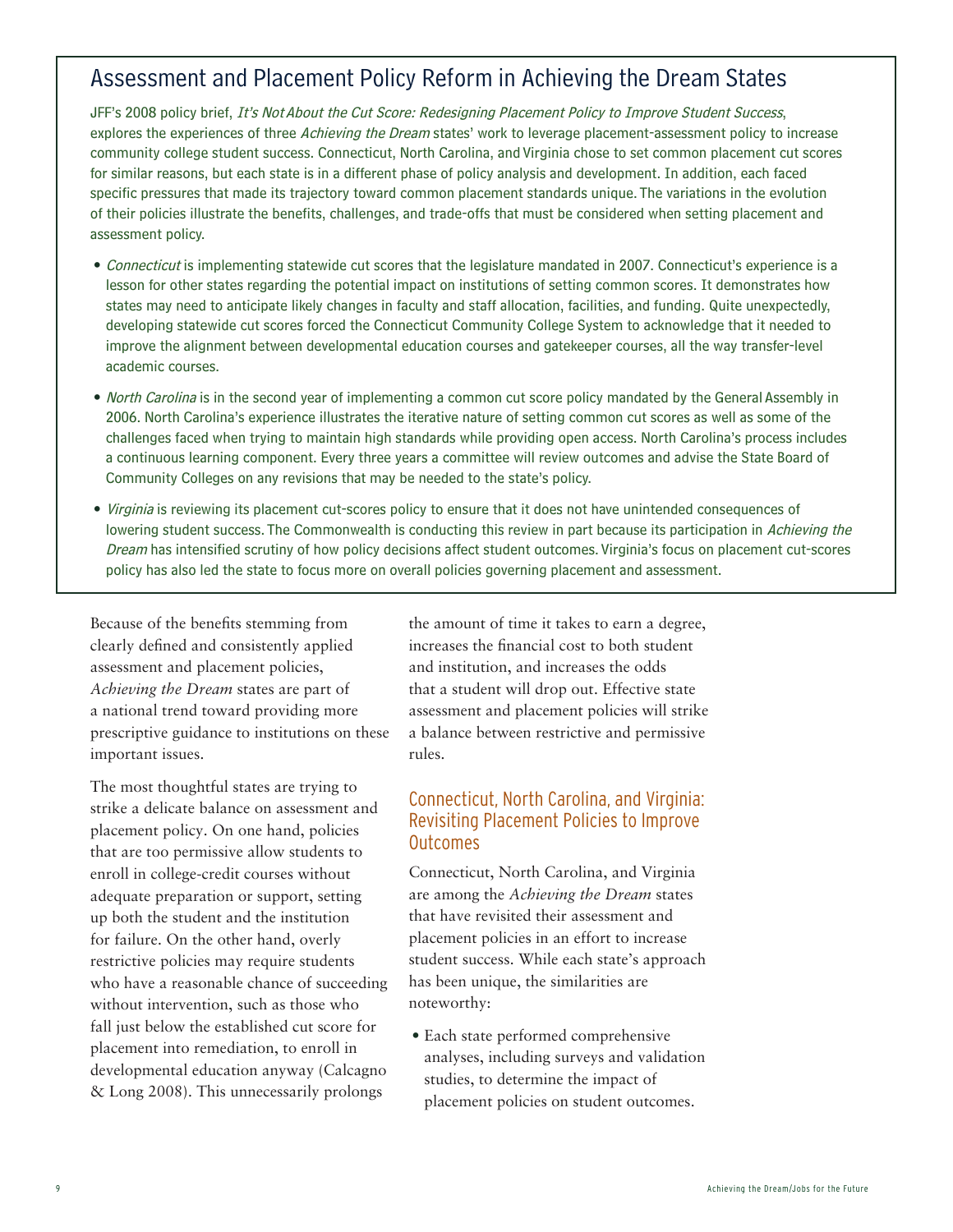# Assessment and Placement Policy Reform in Achieving the Dream States

JFF's 2008 policy brief, It's Not About the Cut Score: Redesigning Placement Policy to Improve Student Success, explores the experiences of three Achieving the Dream states' work to leverage placement-assessment policy to increase community college student success. Connecticut, North Carolina, and Virginia chose to set common placement cut scores for similar reasons, but each state is in a different phase of policy analysis and development. In addition, each faced specific pressures that made its trajectory toward common placement standards unique. The variations in the evolution of their policies illustrate the benefits, challenges, and trade-offs that must be considered when setting placement and assessment policy.

- Connecticut is implementing statewide cut scores that the legislature mandated in 2007. Connecticut's experience is a lesson for other states regarding the potential impact on institutions of setting common scores. It demonstrates how states may need to anticipate likely changes in faculty and staff allocation, facilities, and funding. Quite unexpectedly, developing statewide cut scores forced the Connecticut Community College System to acknowledge that it needed to improve the alignment between developmental education courses and gatekeeper courses, all the way transfer-level academic courses.
- *North Carolina* is in the second year of implementing a common cut score policy mandated by the General Assembly in 2006. North Carolina's experience illustrates the iterative nature of setting common cut scores as well as some of the challenges faced when trying to maintain high standards while providing open access. North Carolina's process includes a continuous learning component. Every three years a committee will review outcomes and advise the State Board of Community Colleges on any revisions that may be needed to the state's policy.
- • Virginia is reviewing its placement cut-scores policy to ensure that it does not have unintended consequences of lowering student success. The Commonwealth is conducting this review in part because its participation in Achieving the Dream has intensified scrutiny of how policy decisions affect student outcomes. Virginia's focus on placement cut-scores policy has also led the state to focus more on overall policies governing placement and assessment.

Because of the benefits stemming from clearly defined and consistently applied assessment and placement policies, *Achieving the Dream* states are part of a national trend toward providing more prescriptive guidance to institutions on these important issues.

The most thoughtful states are trying to strike a delicate balance on assessment and placement policy. On one hand, policies that are too permissive allow students to enroll in college-credit courses without adequate preparation or support, setting up both the student and the institution for failure. On the other hand, overly restrictive policies may require students who have a reasonable chance of succeeding without intervention, such as those who fall just below the established cut score for placement into remediation, to enroll in developmental education anyway (Calcagno & Long 2008). This unnecessarily prolongs

the amount of time it takes to earn a degree, increases the financial cost to both student and institution, and increases the odds that a student will drop out. Effective state assessment and placement policies will strike a balance between restrictive and permissive rules.

#### Connecticut, North Carolina, and Virginia: Revisiting Placement Policies to Improve Outcomes

Connecticut, North Carolina, and Virginia are among the *Achieving the Dream* states that have revisited their assessment and placement policies in an effort to increase student success. While each state's approach has been unique, the similarities are noteworthy:

• Each state performed comprehensive analyses, including surveys and validation studies, to determine the impact of placement policies on student outcomes.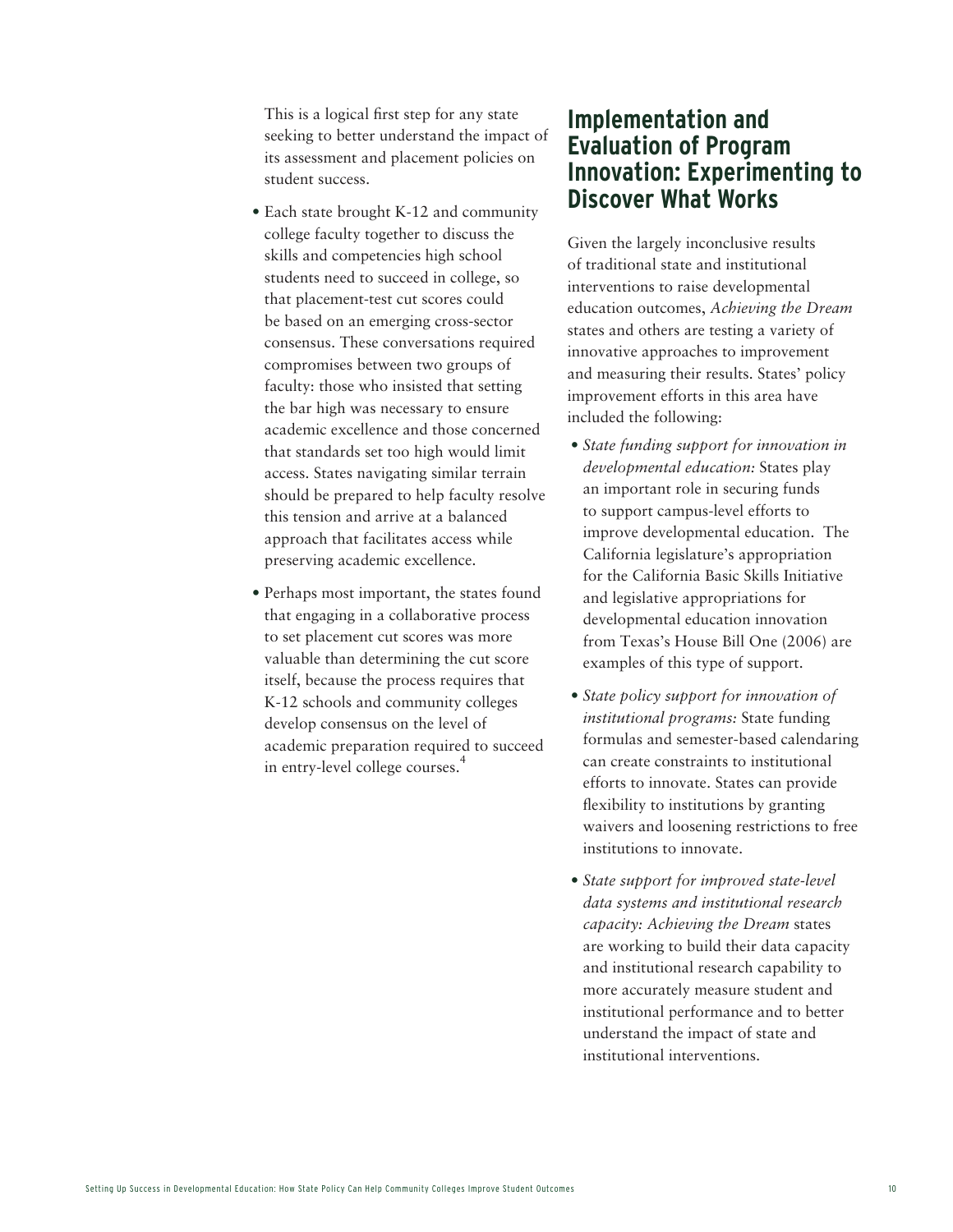This is a logical first step for any state seeking to better understand the impact of its assessment and placement policies on student success.

- Each state brought K-12 and community college faculty together to discuss the skills and competencies high school students need to succeed in college, so that placement-test cut scores could be based on an emerging cross-sector consensus. These conversations required compromises between two groups of faculty: those who insisted that setting the bar high was necessary to ensure academic excellence and those concerned that standards set too high would limit access. States navigating similar terrain should be prepared to help faculty resolve this tension and arrive at a balanced approach that facilitates access while preserving academic excellence.
- Perhaps most important, the states found that engaging in a collaborative process to set placement cut scores was more valuable than determining the cut score itself, because the process requires that K-12 schools and community colleges develop consensus on the level of academic preparation required to succeed in entry-level college courses.<sup>4</sup>

### **Implementation and Evaluation of Program Innovation: Experimenting to Discover What Works**

Given the largely inconclusive results of traditional state and institutional interventions to raise developmental education outcomes, *Achieving the Dream* states and others are testing a variety of innovative approaches to improvement and measuring their results. States' policy improvement efforts in this area have included the following:

- *• State funding support for innovation in developmental education:* States play an important role in securing funds to support campus-level efforts to improve developmental education. The California legislature's appropriation for the California Basic Skills Initiative and legislative appropriations for developmental education innovation from Texas's House Bill One (2006) are examples of this type of support.
- *• State policy support for innovation of institutional programs:* State funding formulas and semester-based calendaring can create constraints to institutional efforts to innovate. States can provide flexibility to institutions by granting waivers and loosening restrictions to free institutions to innovate.
- *• State support for improved state-level data systems and institutional research capacity: Achieving the Dream* states are working to build their data capacity and institutional research capability to more accurately measure student and institutional performance and to better understand the impact of state and institutional interventions.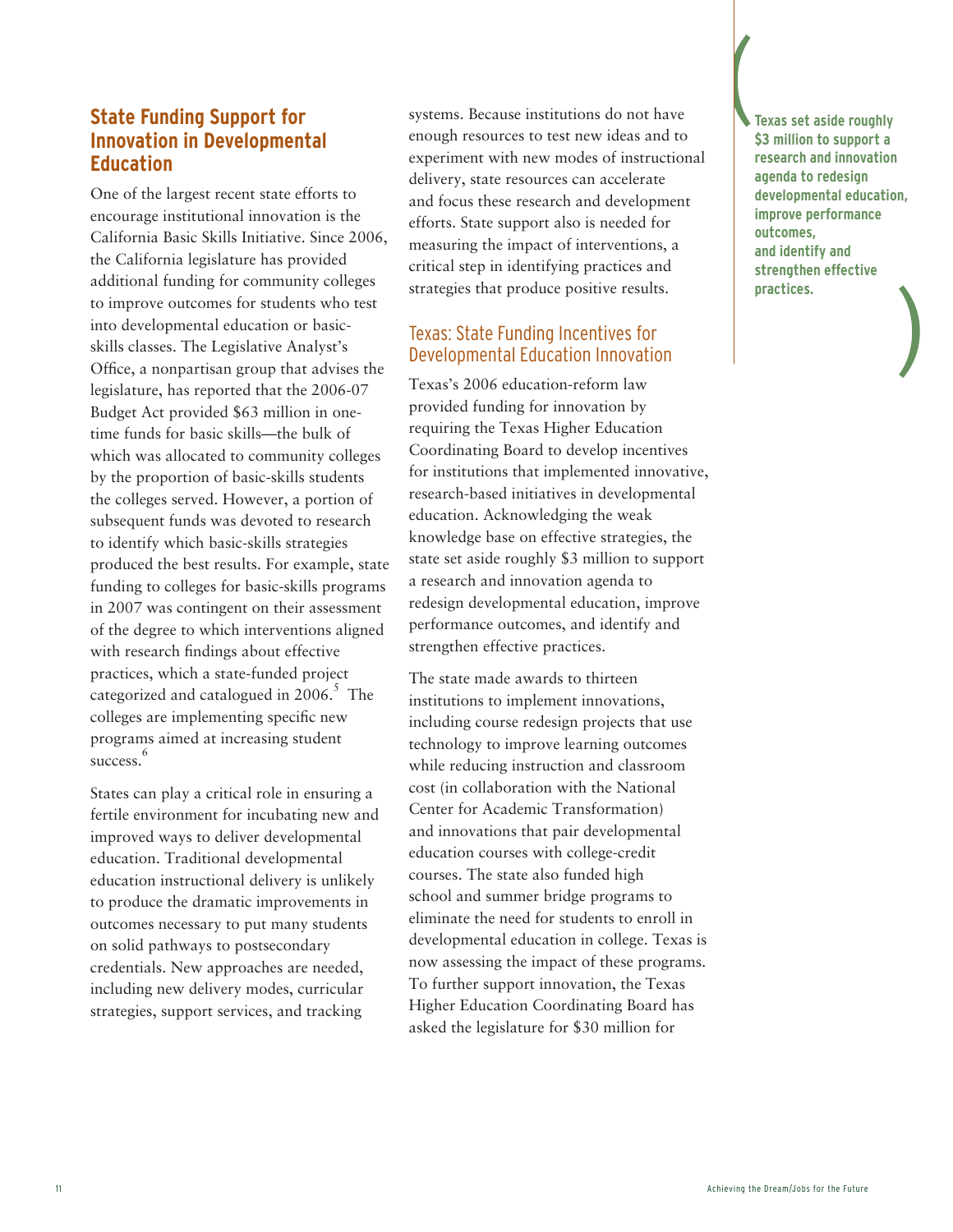#### **State Funding Support for Innovation in Developmental Education**

One of the largest recent state efforts to encourage institutional innovation is the California Basic Skills Initiative. Since 2006, the California legislature has provided additional funding for community colleges to improve outcomes for students who test into developmental education or basicskills classes. The Legislative Analyst's Office, a nonpartisan group that advises the legislature, has reported that the 2006-07 Budget Act provided \$63 million in onetime funds for basic skills—the bulk of which was allocated to community colleges by the proportion of basic-skills students the colleges served. However, a portion of subsequent funds was devoted to research to identify which basic-skills strategies produced the best results. For example, state funding to colleges for basic-skills programs in 2007 was contingent on their assessment of the degree to which interventions aligned with research findings about effective practices, which a state-funded project categorized and catalogued in 2006.<sup>5</sup> The colleges are implementing specific new programs aimed at increasing student success. 6

States can play a critical role in ensuring a fertile environment for incubating new and improved ways to deliver developmental education. Traditional developmental education instructional delivery is unlikely to produce the dramatic improvements in outcomes necessary to put many students on solid pathways to postsecondary credentials. New approaches are needed, including new delivery modes, curricular strategies, support services, and tracking

systems. Because institutions do not have enough resources to test new ideas and to experiment with new modes of instructional delivery, state resources can accelerate and focus these research and development efforts. State support also is needed for measuring the impact of interventions, a critical step in identifying practices and strategies that produce positive results.

#### Texas: State Funding Incentives for Developmental Education Innovation

Texas's 2006 education-reform law provided funding for innovation by requiring the Texas Higher Education Coordinating Board to develop incentives for institutions that implemented innovative, research-based initiatives in developmental education. Acknowledging the weak knowledge base on effective strategies, the state set aside roughly \$3 million to support a research and innovation agenda to redesign developmental education, improve performance outcomes, and identify and strengthen effective practices.

The state made awards to thirteen institutions to implement innovations, including course redesign projects that use technology to improve learning outcomes while reducing instruction and classroom cost (in collaboration with the National Center for Academic Transformation) and innovations that pair developmental education courses with college-credit courses. The state also funded high school and summer bridge programs to eliminate the need for students to enroll in developmental education in college. Texas is now assessing the impact of these programs. To further support innovation, the Texas Higher Education Coordinating Board has asked the legislature for \$30 million for

**Texas set aside roughly \$3 million to support a research and innovation agenda to redesign developmental education, improve performance outcomes, and identify and strengthen effective practices.**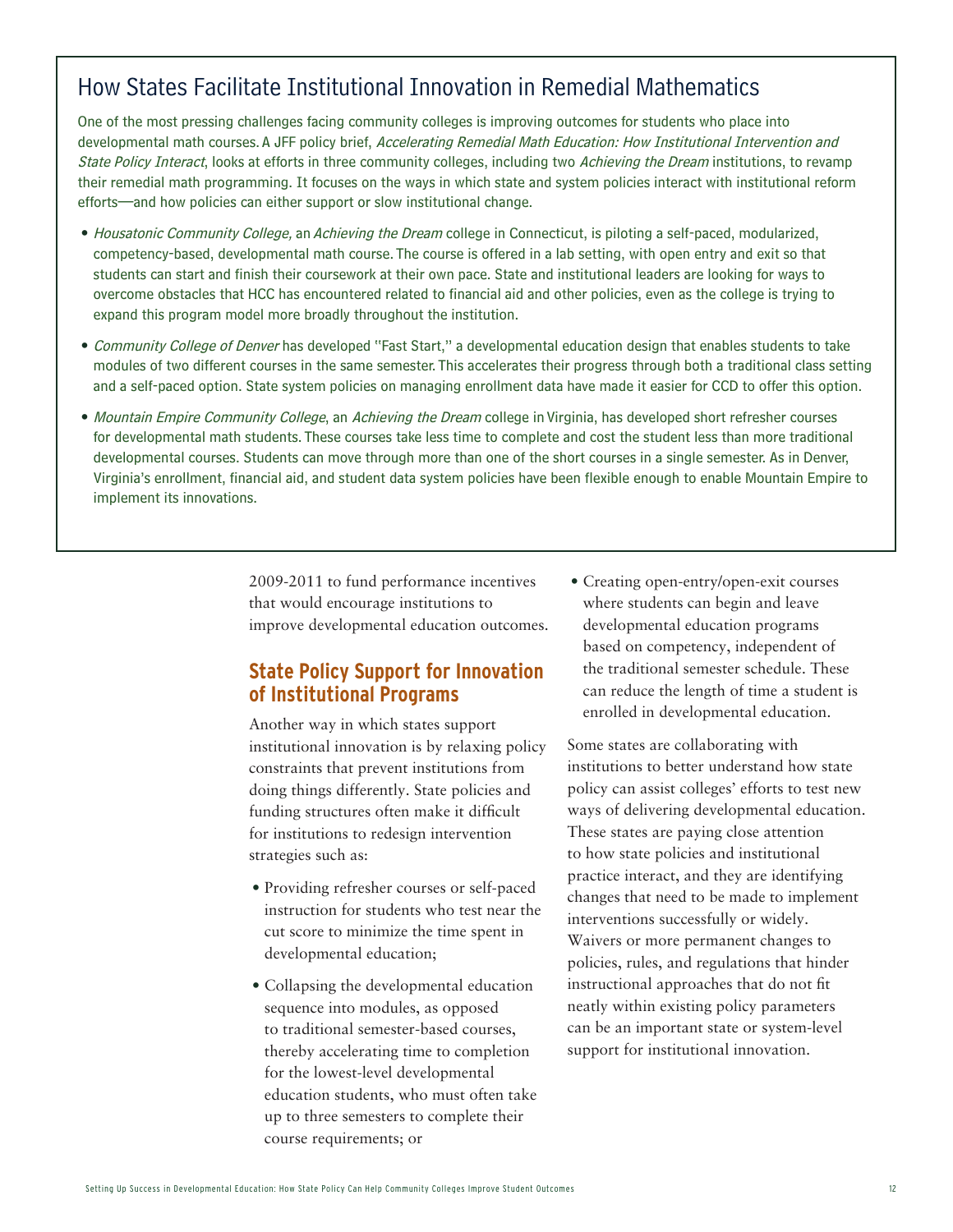# How States Facilitate Institutional Innovation in Remedial Mathematics

One of the most pressing challenges facing community colleges is improving outcomes for students who place into developmental math courses. A JFF policy brief, Accelerating Remedial Math Education: How Institutional Intervention and State Policy Interact, looks at efforts in three community colleges, including two Achieving the Dream institutions, to revamp their remedial math programming. It focuses on the ways in which state and system policies interact with institutional reform efforts—and how policies can either support or slow institutional change.

- Housatonic Community College, an Achieving the Dream college in Connecticut, is piloting a self-paced, modularized, competency-based, developmental math course. The course is offered in a lab setting, with open entry and exit so that students can start and finish their coursework at their own pace. State and institutional leaders are looking for ways to overcome obstacles that HCC has encountered related to financial aid and other policies, even as the college is trying to expand this program model more broadly throughout the institution.
- Community College of Denver has developed "Fast Start," a developmental education design that enables students to take modules of two different courses in the same semester. This accelerates their progress through both a traditional class setting and a self-paced option. State system policies on managing enrollment data have made it easier for CCD to offer this option.
- Mountain Empire Community College, an Achieving the Dream college in Virginia, has developed short refresher courses for developmental math students. These courses take less time to complete and cost the student less than more traditional developmental courses. Students can move through more than one of the short courses in a single semester. As in Denver, Virginia's enrollment, financial aid, and student data system policies have been flexible enough to enable Mountain Empire to implement its innovations.

2009-2011 to fund performance incentives that would encourage institutions to improve developmental education outcomes.

#### **State Policy Support for Innovation of Institutional Programs**

Another way in which states support institutional innovation is by relaxing policy constraints that prevent institutions from doing things differently. State policies and funding structures often make it difficult for institutions to redesign intervention strategies such as:

- • Providing refresher courses or self-paced instruction for students who test near the cut score to minimize the time spent in developmental education;
- Collapsing the developmental education sequence into modules, as opposed to traditional semester-based courses, thereby accelerating time to completion for the lowest-level developmental education students, who must often take up to three semesters to complete their course requirements; or

• Creating open-entry/open-exit courses where students can begin and leave developmental education programs based on competency, independent of the traditional semester schedule. These can reduce the length of time a student is enrolled in developmental education.

Some states are collaborating with institutions to better understand how state policy can assist colleges' efforts to test new ways of delivering developmental education. These states are paying close attention to how state policies and institutional practice interact, and they are identifying changes that need to be made to implement interventions successfully or widely. Waivers or more permanent changes to policies, rules, and regulations that hinder instructional approaches that do not fit neatly within existing policy parameters can be an important state or system-level support for institutional innovation.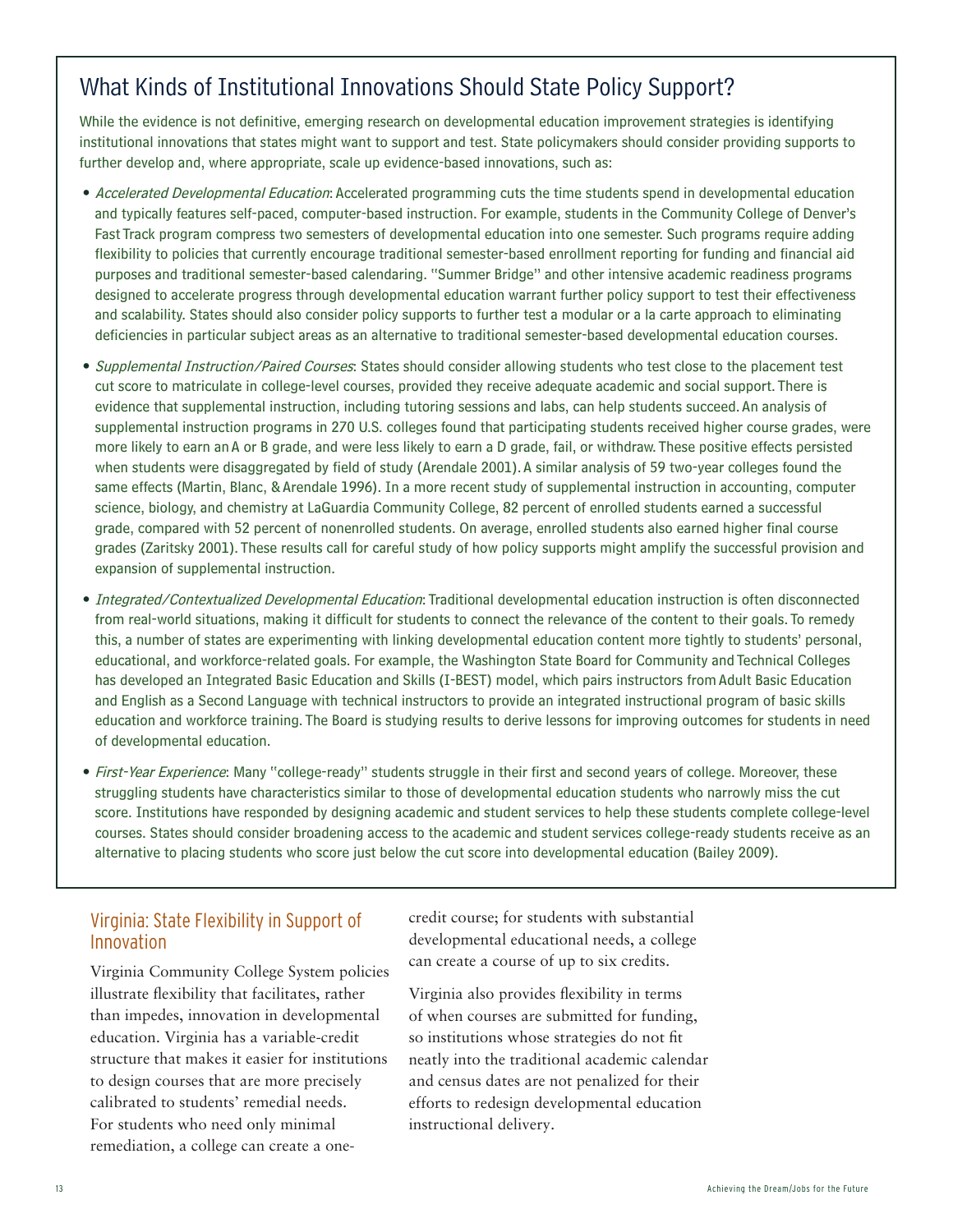# What Kinds of Institutional Innovations Should State Policy Support?

While the evidence is not definitive, emerging research on developmental education improvement strategies is identifying institutional innovations that states might want to support and test. State policymakers should consider providing supports to further develop and, where appropriate, scale up evidence-based innovations, such as:

- Accelerated Developmental Education: Accelerated programming cuts the time students spend in developmental education and typically features self-paced, computer-based instruction. For example, students in the Community College of Denver's Fast Track program compress two semesters of developmental education into one semester. Such programs require adding flexibility to policies that currently encourage traditional semester-based enrollment reporting for funding and financial aid purposes and traditional semester-based calendaring. "Summer Bridge" and other intensive academic readiness programs designed to accelerate progress through developmental education warrant further policy support to test their effectiveness and scalability. States should also consider policy supports to further test a modular or a la carte approach to eliminating deficiencies in particular subject areas as an alternative to traditional semester-based developmental education courses.
- Supplemental Instruction/Paired Courses: States should consider allowing students who test close to the placement test cut score to matriculate in college-level courses, provided they receive adequate academic and social support. There is evidence that supplemental instruction, including tutoring sessions and labs, can help students succeed. An analysis of supplemental instruction programs in 270 U.S. colleges found that participating students received higher course grades, were more likely to earn an A or B grade, and were less likely to earn a D grade, fail, or withdraw. These positive effects persisted when students were disaggregated by field of study (Arendale 2001). A similar analysis of 59 two-year colleges found the same effects (Martin, Blanc, & Arendale 1996). In a more recent study of supplemental instruction in accounting, computer science, biology, and chemistry at LaGuardia Community College, 82 percent of enrolled students earned a successful grade, compared with 52 percent of nonenrolled students. On average, enrolled students also earned higher final course grades (Zaritsky 2001). These results call for careful study of how policy supports might amplify the successful provision and expansion of supplemental instruction.
- Integrated/Contextualized Developmental Education: Traditional developmental education instruction is often disconnected from real-world situations, making it difficult for students to connect the relevance of the content to their goals. To remedy this, a number of states are experimenting with linking developmental education content more tightly to students' personal, educational, and workforce-related goals. For example, the Washington State Board for Community and Technical Colleges has developed an Integrated Basic Education and Skills (I-BEST) model, which pairs instructors from Adult Basic Education and English as a Second Language with technical instructors to provide an integrated instructional program of basic skills education and workforce training. The Board is studying results to derive lessons for improving outcomes for students in need of developmental education.
- First-Year Experience: Many "college-ready" students struggle in their first and second years of college. Moreover, these struggling students have characteristics similar to those of developmental education students who narrowly miss the cut score. Institutions have responded by designing academic and student services to help these students complete college-level courses. States should consider broadening access to the academic and student services college-ready students receive as an alternative to placing students who score just below the cut score into developmental education (Bailey 2009).

#### Virginia: State Flexibility in Support of Innovation

Virginia Community College System policies illustrate flexibility that facilitates, rather than impedes, innovation in developmental education. Virginia has a variable-credit structure that makes it easier for institutions to design courses that are more precisely calibrated to students' remedial needs. For students who need only minimal remediation, a college can create a onecredit course; for students with substantial developmental educational needs, a college can create a course of up to six credits.

Virginia also provides flexibility in terms of when courses are submitted for funding, so institutions whose strategies do not fit neatly into the traditional academic calendar and census dates are not penalized for their efforts to redesign developmental education instructional delivery.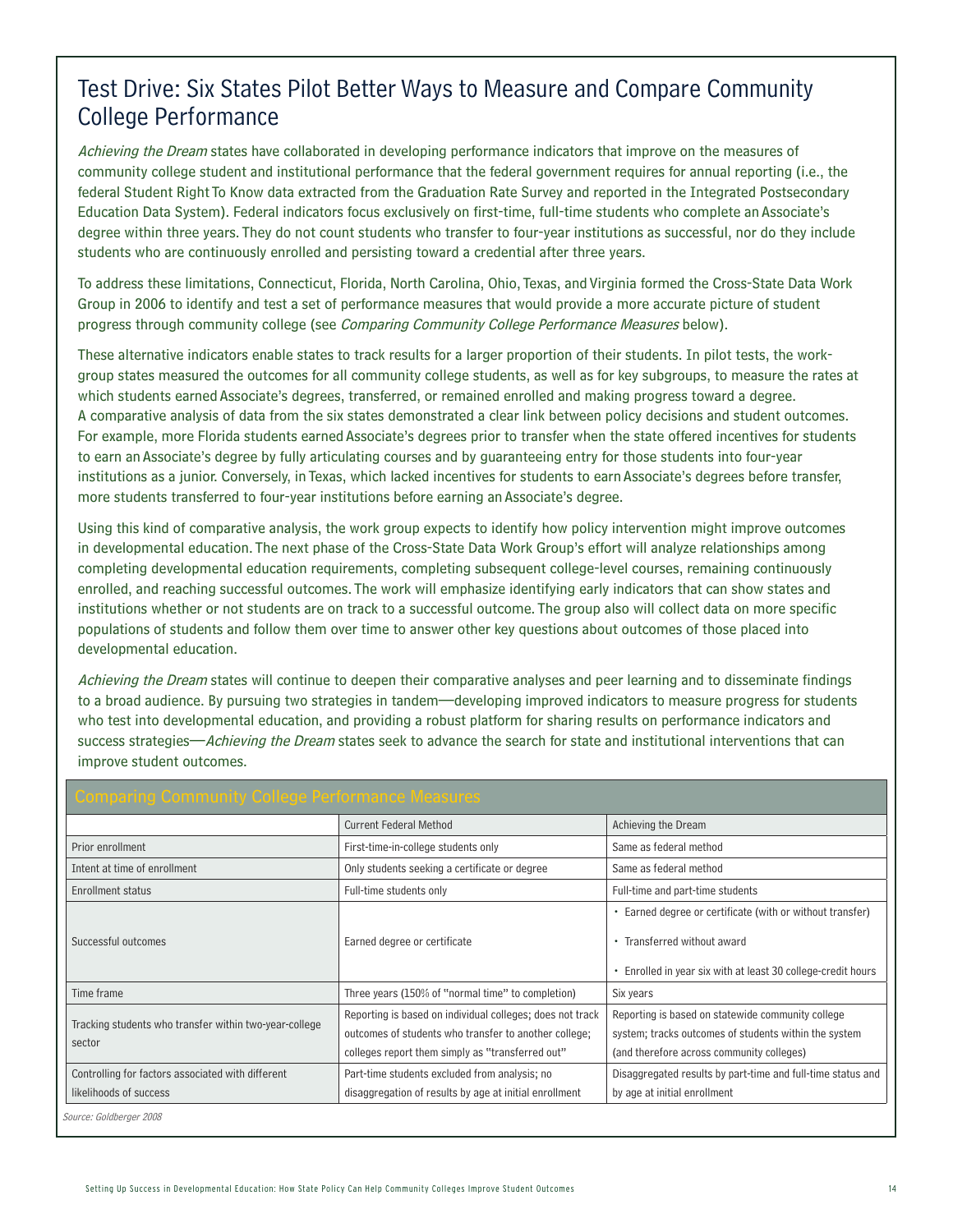# Test Drive: Six States Pilot Better Ways to Measure and Compare Community College Performance

Achieving the Dream states have collaborated in developing performance indicators that improve on the measures of community college student and institutional performance that the federal government requires for annual reporting (i.e., the federal Student Right To Know data extracted from the Graduation Rate Survey and reported in the Integrated Postsecondary Education Data System). Federal indicators focus exclusively on first-time, full-time students who complete an Associate's degree within three years. They do not count students who transfer to four-year institutions as successful, nor do they include students who are continuously enrolled and persisting toward a credential after three years.

To address these limitations, Connecticut, Florida, North Carolina, Ohio, Texas, and Virginia formed the Cross-State Data Work Group in 2006 to identify and test a set of performance measures that would provide a more accurate picture of student progress through community college (see Comparing Community College Performance Measures below).

These alternative indicators enable states to track results for a larger proportion of their students. In pilot tests, the workgroup states measured the outcomes for all community college students, as well as for key subgroups, to measure the rates at which students earned Associate's degrees, transferred, or remained enrolled and making progress toward a degree. A comparative analysis of data from the six states demonstrated a clear link between policy decisions and student outcomes. For example, more Florida students earned Associate's degrees prior to transfer when the state offered incentives for students to earn an Associate's degree by fully articulating courses and by guaranteeing entry for those students into four-year institutions as a junior. Conversely, in Texas, which lacked incentives for students to earn Associate's degrees before transfer, more students transferred to four-year institutions before earning an Associate's degree.

Using this kind of comparative analysis, the work group expects to identify how policy intervention might improve outcomes in developmental education. The next phase of the Cross-State Data Work Group's effort will analyze relationships among completing developmental education requirements, completing subsequent college-level courses, remaining continuously enrolled, and reaching successful outcomes. The work will emphasize identifying early indicators that can show states and institutions whether or not students are on track to a successful outcome. The group also will collect data on more specific populations of students and follow them over time to answer other key questions about outcomes of those placed into developmental education.

Achieving the Dream states will continue to deepen their comparative analyses and peer learning and to disseminate findings to a broad audience. By pursuing two strategies in tandem—developing improved indicators to measure progress for students who test into developmental education, and providing a robust platform for sharing results on performance indicators and success strategies—Achieving the Dream states seek to advance the search for state and institutional interventions that can improve student outcomes.

| <b>Comparing Community College Performance Measures</b>          |                                                           |                                                              |  |
|------------------------------------------------------------------|-----------------------------------------------------------|--------------------------------------------------------------|--|
|                                                                  | <b>Current Federal Method</b>                             | Achieving the Dream                                          |  |
| Prior enrollment                                                 | First-time-in-college students only                       | Same as federal method                                       |  |
| Intent at time of enrollment                                     | Only students seeking a certificate or degree             | Same as federal method                                       |  |
| Enrollment status                                                | Full-time students only                                   | Full-time and part-time students                             |  |
| Successful outcomes                                              |                                                           | • Earned degree or certificate (with or without transfer)    |  |
|                                                                  | Earned degree or certificate                              | • Transferred without award                                  |  |
|                                                                  |                                                           | • Enrolled in year six with at least 30 college-credit hours |  |
| Time frame                                                       | Three years (150% of "normal time" to completion)         | Six years                                                    |  |
| Tracking students who transfer within two-year-college<br>sector | Reporting is based on individual colleges; does not track | Reporting is based on statewide community college            |  |
|                                                                  | outcomes of students who transfer to another college;     | system; tracks outcomes of students within the system        |  |
|                                                                  | colleges report them simply as "transferred out"          | (and therefore across community colleges)                    |  |
| Controlling for factors associated with different                | Part-time students excluded from analysis; no             | Disaggregated results by part-time and full-time status and  |  |
| likelihoods of success                                           | disaggregation of results by age at initial enrollment    | by age at initial enrollment                                 |  |

Source: Goldberger 2008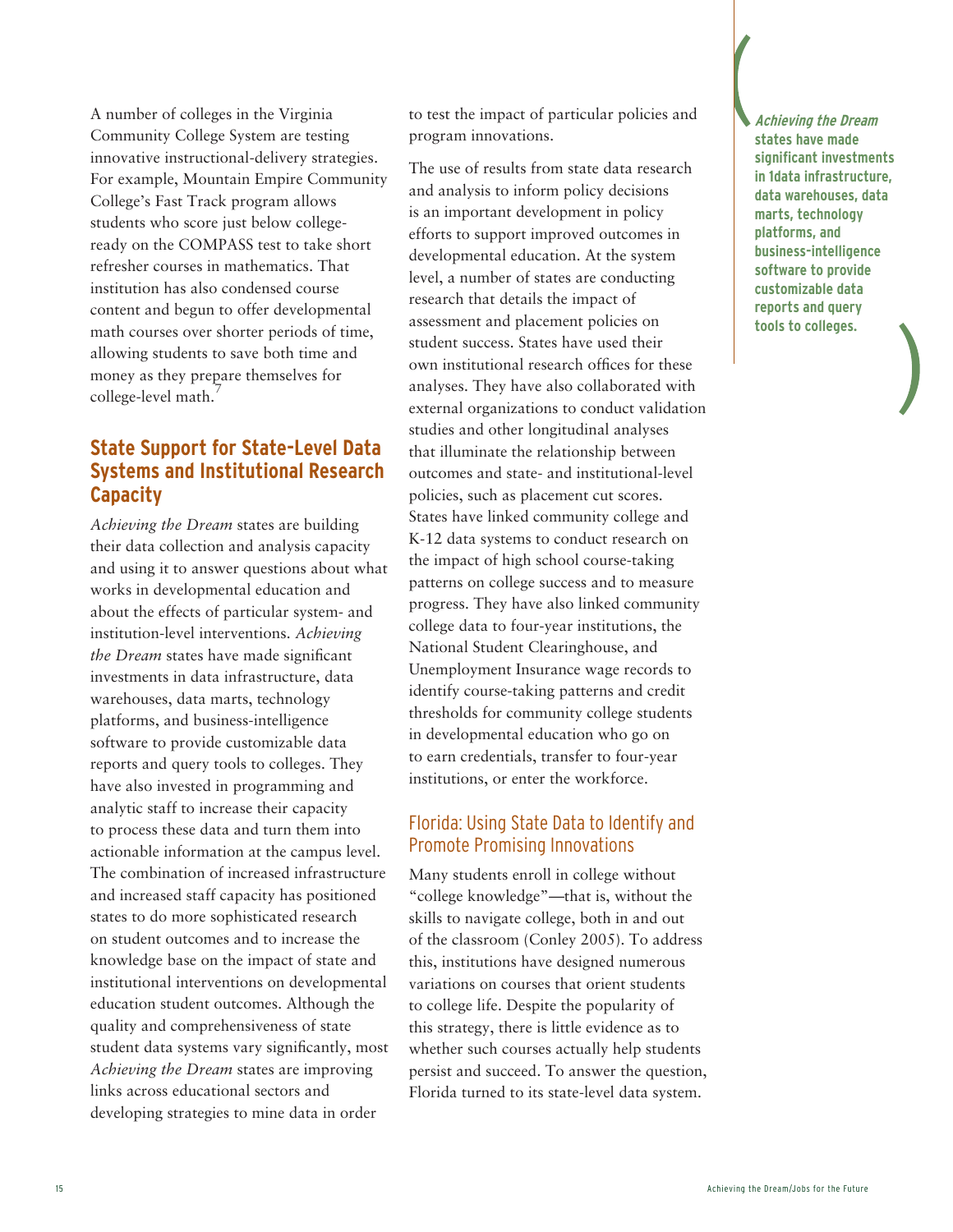A number of colleges in the Virginia Community College System are testing innovative instructional-delivery strategies. For example, Mountain Empire Community College's Fast Track program allows students who score just below collegeready on the COMPASS test to take short refresher courses in mathematics. That institution has also condensed course content and begun to offer developmental math courses over shorter periods of time, allowing students to save both time and money as they prepare themselves for college-level math.<sup>7</sup>

#### **State Support for State-Level Data Systems and Institutional Research Capacity**

*Achieving the Dream* states are building their data collection and analysis capacity and using it to answer questions about what works in developmental education and about the effects of particular system- and institution-level interventions. *Achieving the Dream* states have made significant investments in data infrastructure, data warehouses, data marts, technology platforms, and business-intelligence software to provide customizable data reports and query tools to colleges. They have also invested in programming and analytic staff to increase their capacity to process these data and turn them into actionable information at the campus level. The combination of increased infrastructure and increased staff capacity has positioned states to do more sophisticated research on student outcomes and to increase the knowledge base on the impact of state and institutional interventions on developmental education student outcomes. Although the quality and comprehensiveness of state student data systems vary significantly, most *Achieving the Dream* states are improving links across educational sectors and developing strategies to mine data in order

to test the impact of particular policies and program innovations.

The use of results from state data research and analysis to inform policy decisions is an important development in policy efforts to support improved outcomes in developmental education. At the system level, a number of states are conducting research that details the impact of assessment and placement policies on student success. States have used their own institutional research offices for these analyses. They have also collaborated with external organizations to conduct validation studies and other longitudinal analyses that illuminate the relationship between outcomes and state- and institutional-level policies, such as placement cut scores. States have linked community college and K-12 data systems to conduct research on the impact of high school course-taking patterns on college success and to measure progress. They have also linked community college data to four-year institutions, the National Student Clearinghouse, and Unemployment Insurance wage records to identify course-taking patterns and credit thresholds for community college students in developmental education who go on to earn credentials, transfer to four-year institutions, or enter the workforce.

#### Florida: Using State Data to Identify and Promote Promising Innovations

Many students enroll in college without "college knowledge"—that is, without the skills to navigate college, both in and out of the classroom (Conley 2005). To address this, institutions have designed numerous variations on courses that orient students to college life. Despite the popularity of this strategy, there is little evidence as to whether such courses actually help students persist and succeed. To answer the question, Florida turned to its state-level data system.

**Achieving the Dream states have made significant investments in 1data infrastructure, data warehouses, data marts, technology platforms, and business-intelligence software to provide customizable data reports and query tools to colleges.**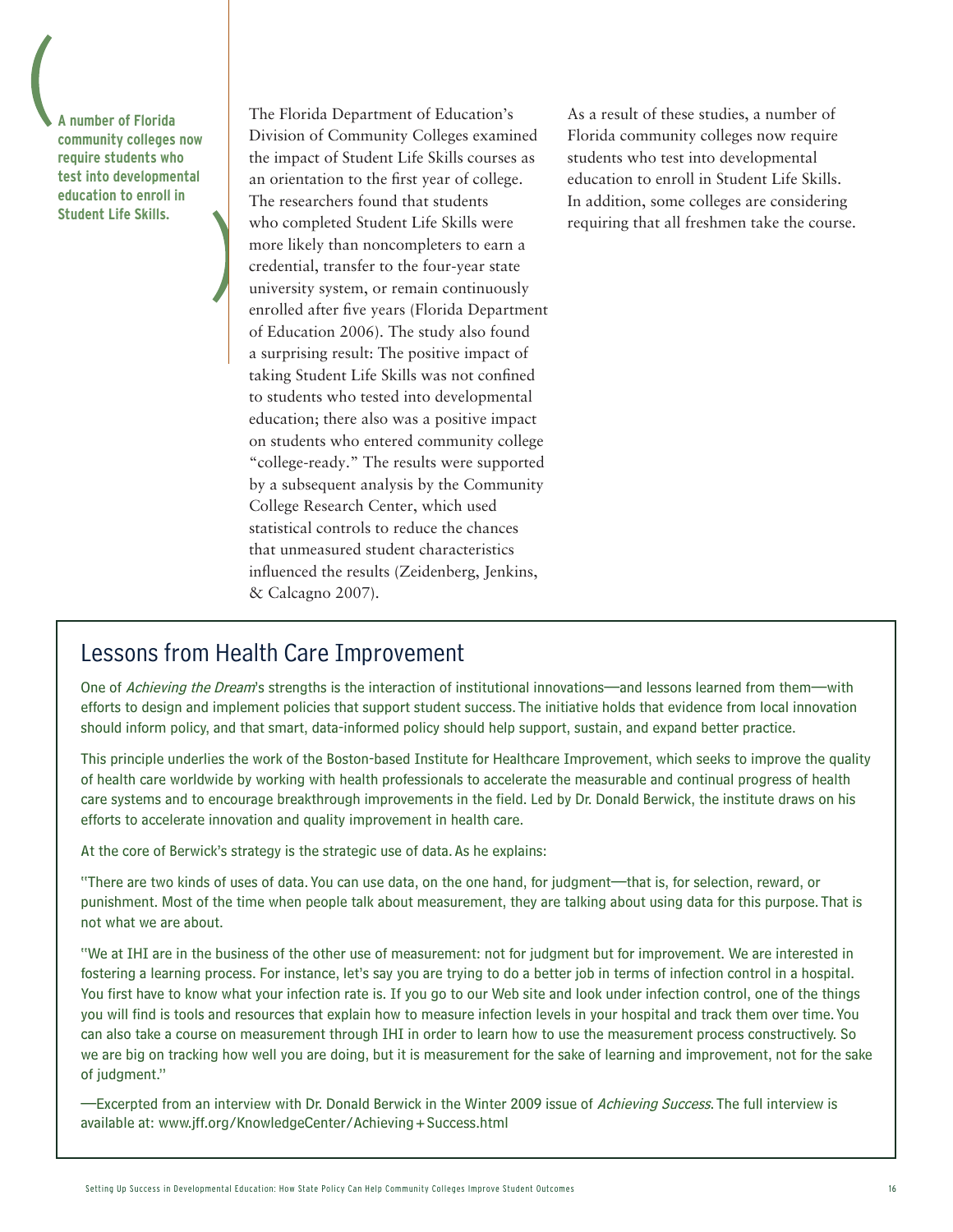**A number of Florida community colleges now require students who test into developmental education to enroll in Student Life Skills.** 

The Florida Department of Education's Division of Community Colleges examined the impact of Student Life Skills courses as an orientation to the first year of college. The researchers found that students who completed Student Life Skills were more likely than noncompleters to earn a credential, transfer to the four-year state university system, or remain continuously enrolled after five years (Florida Department of Education 2006). The study also found a surprising result: The positive impact of taking Student Life Skills was not confined to students who tested into developmental education; there also was a positive impact on students who entered community college "college-ready." The results were supported by a subsequent analysis by the Community College Research Center, which used statistical controls to reduce the chances that unmeasured student characteristics influenced the results (Zeidenberg, Jenkins, & Calcagno 2007).

As a result of these studies, a number of Florida community colleges now require students who test into developmental education to enroll in Student Life Skills. In addition, some colleges are considering requiring that all freshmen take the course.

### Lessons from Health Care Improvement

One of Achieving the Dream's strengths is the interaction of institutional innovations—and lessons learned from them—with efforts to design and implement policies that support student success. The initiative holds that evidence from local innovation should inform policy, and that smart, data-informed policy should help support, sustain, and expand better practice.

This principle underlies the work of the Boston-based Institute for Healthcare Improvement, which seeks to improve the quality of health care worldwide by working with health professionals to accelerate the measurable and continual progress of health care systems and to encourage breakthrough improvements in the field. Led by Dr. Donald Berwick, the institute draws on his efforts to accelerate innovation and quality improvement in health care.

At the core of Berwick's strategy is the strategic use of data. As he explains:

"There are two kinds of uses of data. You can use data, on the one hand, for judgment—that is, for selection, reward, or punishment. Most of the time when people talk about measurement, they are talking about using data for this purpose. That is not what we are about.

"We at IHI are in the business of the other use of measurement: not for judgment but for improvement. We are interested in fostering a learning process. For instance, let's say you are trying to do a better job in terms of infection control in a hospital. You first have to know what your infection rate is. If you go to our Web site and look under infection control, one of the things you will find is tools and resources that explain how to measure infection levels in your hospital and track them over time. You can also take a course on measurement through IHI in order to learn how to use the measurement process constructively. So we are big on tracking how well you are doing, but it is measurement for the sake of learning and improvement, not for the sake of judgment."

—Excerpted from an interview with Dr. Donald Berwick in the Winter 2009 issue of Achieving Success. The full interview is available at: www.jff.org/KnowledgeCenter/Achieving+Success.html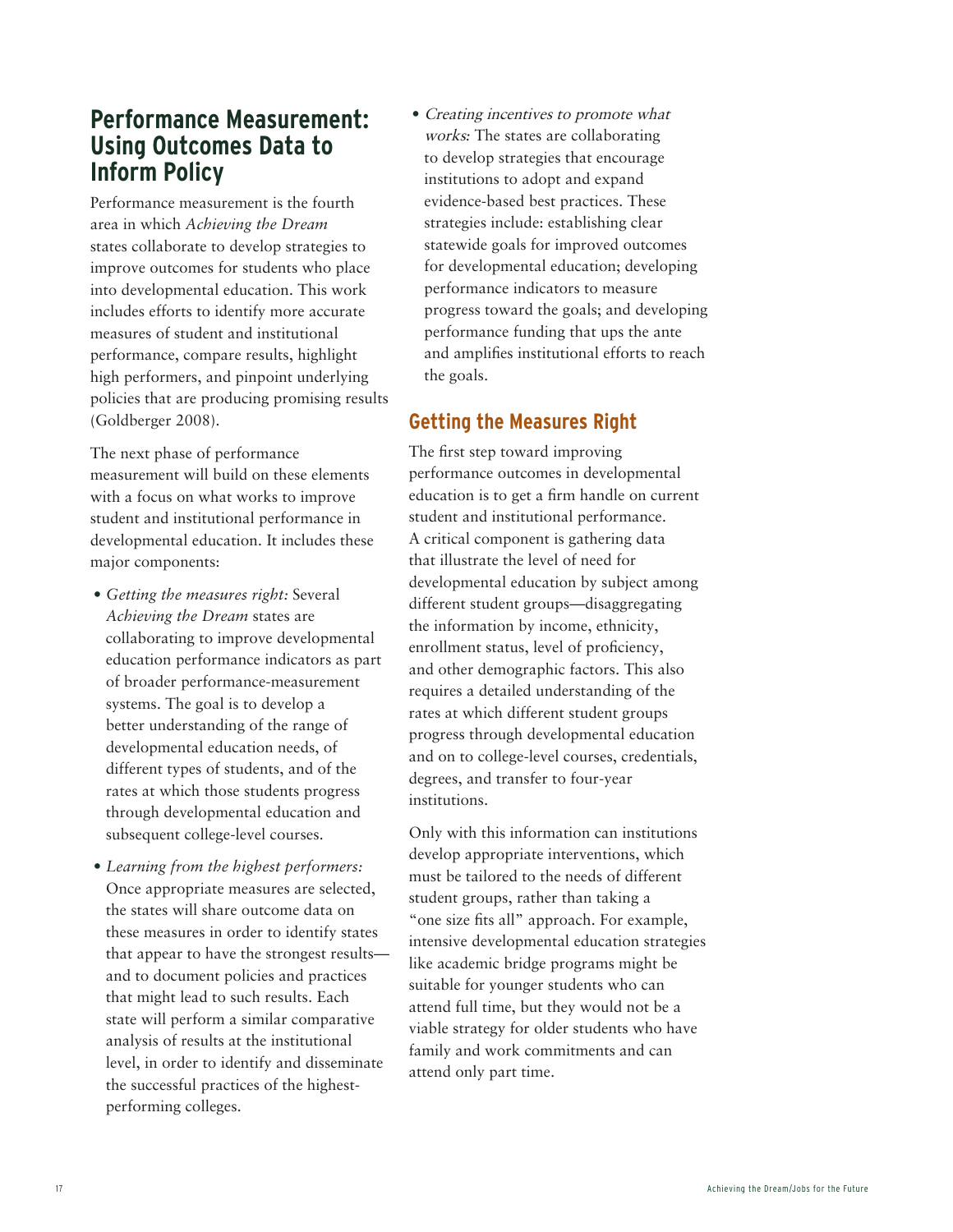# **Performance Measurement: Using Outcomes Data to Inform Policy**

Performance measurement is the fourth area in which *Achieving the Dream* states collaborate to develop strategies to improve outcomes for students who place into developmental education. This work includes efforts to identify more accurate measures of student and institutional performance, compare results, highlight high performers, and pinpoint underlying policies that are producing promising results (Goldberger 2008).

The next phase of performance measurement will build on these elements with a focus on what works to improve student and institutional performance in developmental education. It includes these major components:

- *• Getting the measures right:* Several *Achieving the Dream* states are collaborating to improve developmental education performance indicators as part of broader performance-measurement systems. The goal is to develop a better understanding of the range of developmental education needs, of different types of students, and of the rates at which those students progress through developmental education and subsequent college-level courses.
- *• Learning from the highest performers:* Once appropriate measures are selected, the states will share outcome data on these measures in order to identify states that appear to have the strongest results and to document policies and practices that might lead to such results. Each state will perform a similar comparative analysis of results at the institutional level, in order to identify and disseminate the successful practices of the highestperforming colleges.

• Creating incentives to promote what works*:* The states are collaborating to develop strategies that encourage institutions to adopt and expand evidence-based best practices. These strategies include: establishing clear statewide goals for improved outcomes for developmental education; developing performance indicators to measure progress toward the goals; and developing performance funding that ups the ante and amplifies institutional efforts to reach the goals.

#### **Getting the Measures Right**

The first step toward improving performance outcomes in developmental education is to get a firm handle on current student and institutional performance. A critical component is gathering data that illustrate the level of need for developmental education by subject among different student groups—disaggregating the information by income, ethnicity, enrollment status, level of proficiency, and other demographic factors. This also requires a detailed understanding of the rates at which different student groups progress through developmental education and on to college-level courses, credentials, degrees, and transfer to four-year institutions.

Only with this information can institutions develop appropriate interventions, which must be tailored to the needs of different student groups, rather than taking a "one size fits all" approach. For example, intensive developmental education strategies like academic bridge programs might be suitable for younger students who can attend full time, but they would not be a viable strategy for older students who have family and work commitments and can attend only part time.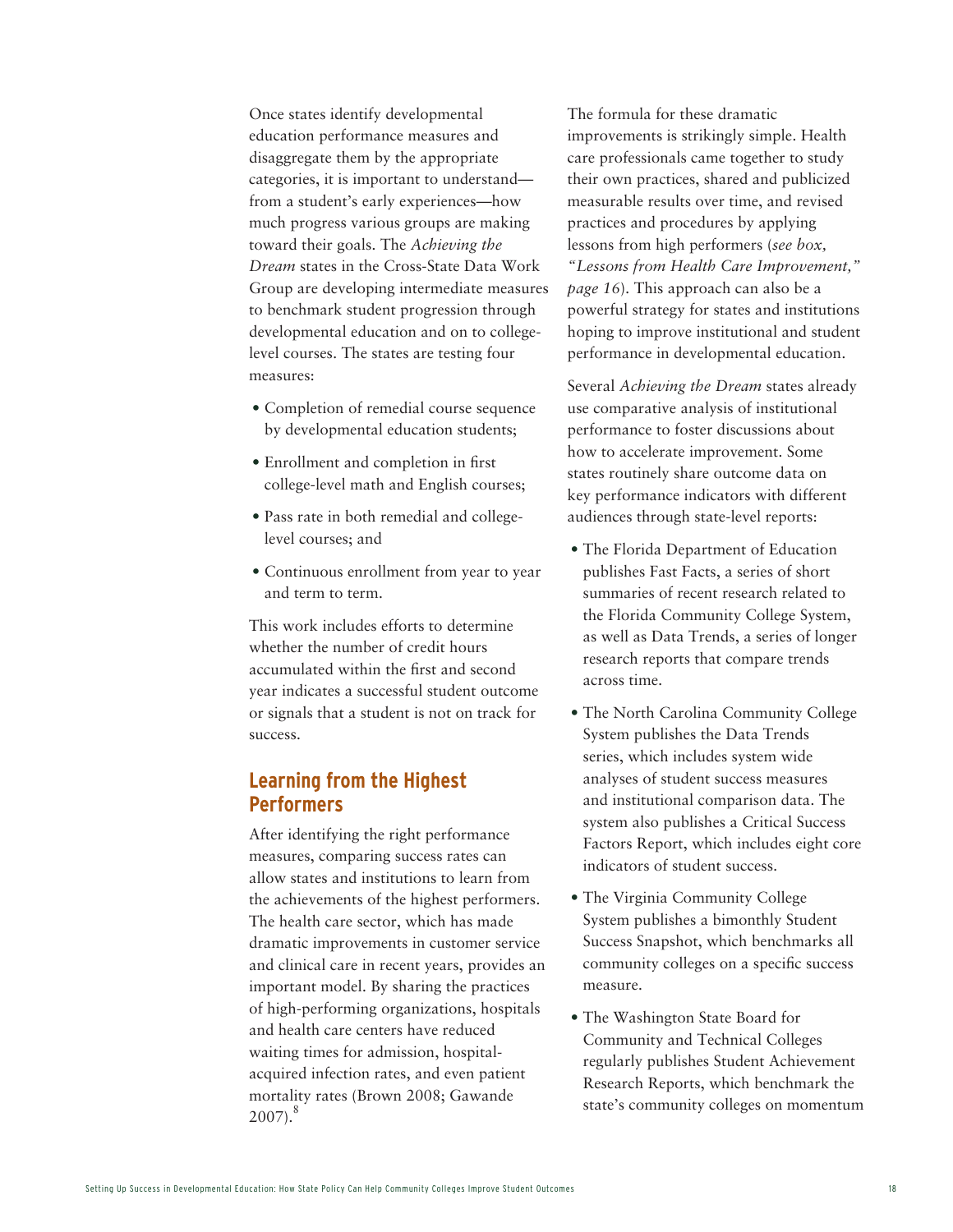Once states identify developmental education performance measures and disaggregate them by the appropriate categories, it is important to understand from a student's early experiences—how much progress various groups are making toward their goals. The *Achieving the Dream* states in the Cross-State Data Work Group are developing intermediate measures to benchmark student progression through developmental education and on to collegelevel courses. The states are testing four measures:

- Completion of remedial course sequence by developmental education students;
- • Enrollment and completion in first college-level math and English courses;
- Pass rate in both remedial and collegelevel courses; and
- Continuous enrollment from year to year and term to term.

This work includes efforts to determine whether the number of credit hours accumulated within the first and second year indicates a successful student outcome or signals that a student is not on track for success.

#### **Learning from the Highest Performers**

After identifying the right performance measures, comparing success rates can allow states and institutions to learn from the achievements of the highest performers. The health care sector, which has made dramatic improvements in customer service and clinical care in recent years, provides an important model. By sharing the practices of high-performing organizations, hospitals and health care centers have reduced waiting times for admission, hospitalacquired infection rates, and even patient mortality rates (Brown 2008; Gawande  $2007$ .<sup>8</sup>

The formula for these dramatic improvements is strikingly simple. Health care professionals came together to study their own practices, shared and publicized measurable results over time, and revised practices and procedures by applying lessons from high performers (*see box, "Lessons from Health Care Improvement," page 16*). This approach can also be a powerful strategy for states and institutions hoping to improve institutional and student performance in developmental education.

Several *Achieving the Dream* states already use comparative analysis of institutional performance to foster discussions about how to accelerate improvement. Some states routinely share outcome data on key performance indicators with different audiences through state-level reports:

- The Florida Department of Education publishes Fast Facts, a series of short summaries of recent research related to the Florida Community College System, as well as Data Trends, a series of longer research reports that compare trends across time.
- The North Carolina Community College System publishes the Data Trends series, which includes system wide analyses of student success measures and institutional comparison data. The system also publishes a Critical Success Factors Report, which includes eight core indicators of student success.
- The Virginia Community College System publishes a bimonthly Student Success Snapshot, which benchmarks all community colleges on a specific success measure.
- The Washington State Board for Community and Technical Colleges regularly publishes Student Achievement Research Reports, which benchmark the state's community colleges on momentum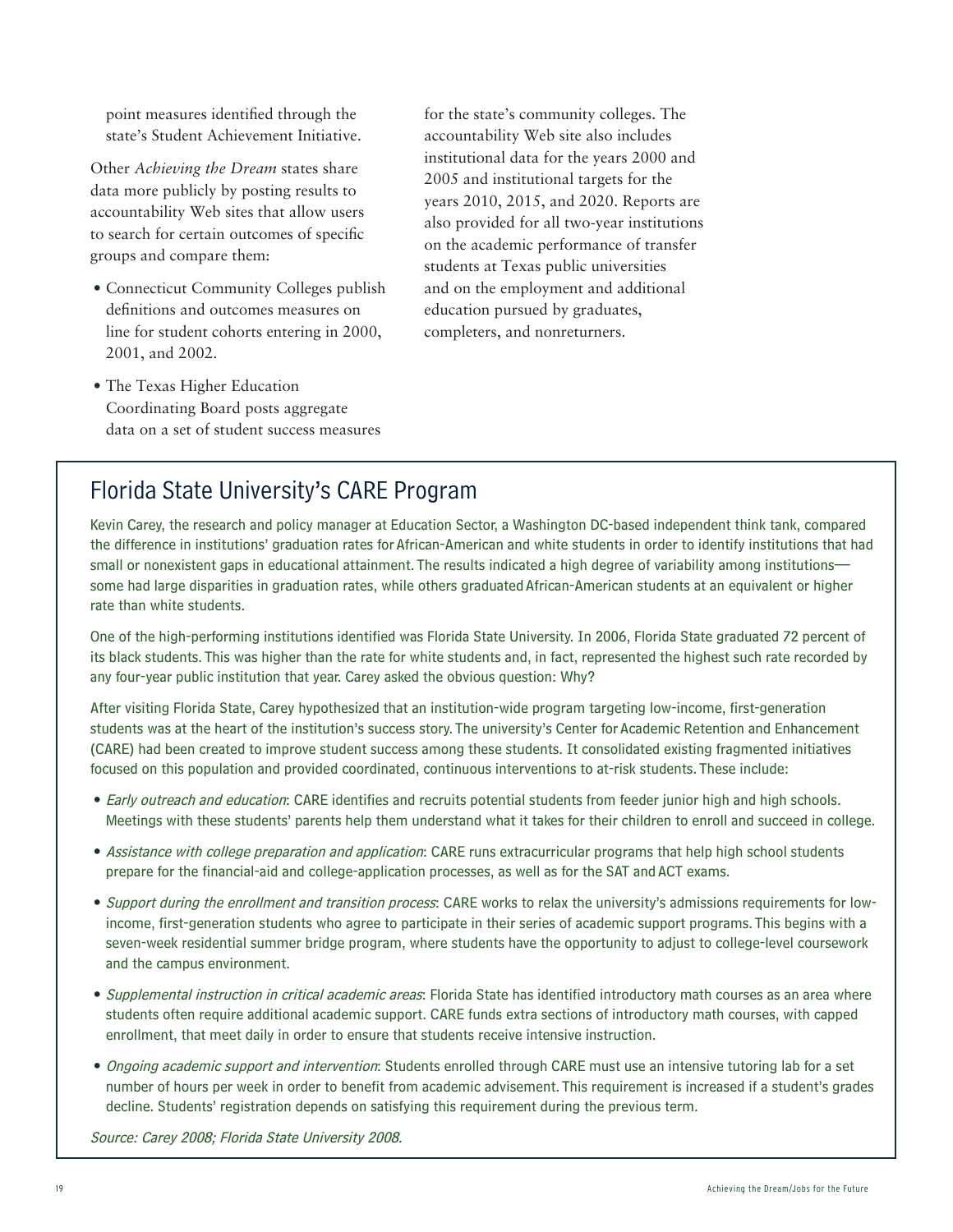point measures identified through the state's Student Achievement Initiative.

Other *Achieving the Dream* states share data more publicly by posting results to accountability Web sites that allow users to search for certain outcomes of specific groups and compare them:

- Connecticut Community Colleges publish definitions and outcomes measures on line for student cohorts entering in 2000, 2001, and 2002.
- The Texas Higher Education Coordinating Board posts aggregate data on a set of student success measures

for the state's community colleges. The accountability Web site also includes institutional data for the years 2000 and 2005 and institutional targets for the years 2010, 2015, and 2020. Reports are also provided for all two-year institutions on the academic performance of transfer students at Texas public universities and on the employment and additional education pursued by graduates, completers, and nonreturners.

# Florida State University's CARE Program

Kevin Carey, the research and policy manager at Education Sector, a Washington DC-based independent think tank, compared the difference in institutions' graduation rates for African-American and white students in order to identify institutions that had small or nonexistent gaps in educational attainment. The results indicated a high degree of variability among institutions some had large disparities in graduation rates, while others graduated African-American students at an equivalent or higher rate than white students.

One of the high-performing institutions identified was Florida State University. In 2006, Florida State graduated 72 percent of its black students. This was higher than the rate for white students and, in fact, represented the highest such rate recorded by any four-year public institution that year. Carey asked the obvious question: Why?

After visiting Florida State, Carey hypothesized that an institution-wide program targeting low-income, first-generation students was at the heart of the institution's success story. The university's Center for Academic Retention and Enhancement (CARE) had been created to improve student success among these students. It consolidated existing fragmented initiatives focused on this population and provided coordinated, continuous interventions to at-risk students. These include:

- Early outreach and education: CARE identifies and recruits potential students from feeder junior high and high schools. Meetings with these students' parents help them understand what it takes for their children to enroll and succeed in college.
- Assistance with college preparation and application: CARE runs extracurricular programs that help high school students prepare for the financial-aid and college-application processes, as well as for the SAT and ACT exams.
- Support during the enrollment and transition process: CARE works to relax the university's admissions requirements for lowincome, first-generation students who agree to participate in their series of academic support programs. This begins with a seven-week residential summer bridge program, where students have the opportunity to adjust to college-level coursework and the campus environment.
- Supplemental instruction in critical academic areas: Florida State has identified introductory math courses as an area where students often require additional academic support. CARE funds extra sections of introductory math courses, with capped enrollment, that meet daily in order to ensure that students receive intensive instruction.
- Ongoing academic support and intervention: Students enrolled through CARE must use an intensive tutoring lab for a set number of hours per week in order to benefit from academic advisement. This requirement is increased if a student's grades decline. Students' registration depends on satisfying this requirement during the previous term.

Source: Carey 2008; Florida State University 2008.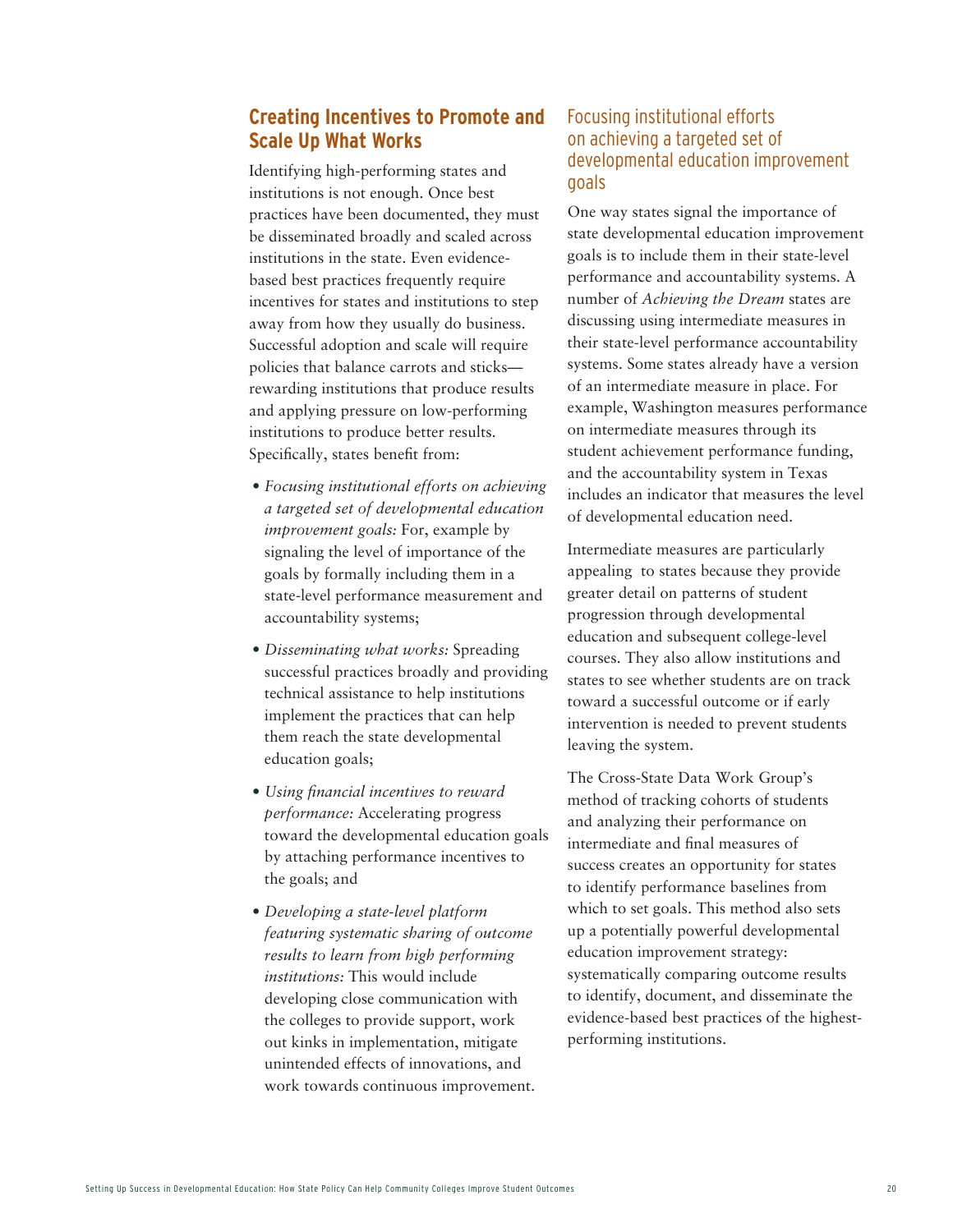#### **Creating Incentives to Promote and Scale Up What Works**

Identifying high-performing states and institutions is not enough. Once best practices have been documented, they must be disseminated broadly and scaled across institutions in the state. Even evidencebased best practices frequently require incentives for states and institutions to step away from how they usually do business. Successful adoption and scale will require policies that balance carrots and sticks rewarding institutions that produce results and applying pressure on low-performing institutions to produce better results. Specifically, states benefit from:

- *• Focusing institutional efforts on achieving a targeted set of developmental education improvement goals:* For, example by signaling the level of importance of the goals by formally including them in a state-level performance measurement and accountability systems;
- *• Disseminating what works:* Spreading successful practices broadly and providing technical assistance to help institutions implement the practices that can help them reach the state developmental education goals;
- *• Using financial incentives to reward performance:* Accelerating progress toward the developmental education goals by attaching performance incentives to the goals; and
- *• Developing a state-level platform featuring systematic sharing of outcome results to learn from high performing institutions:* This would include developing close communication with the colleges to provide support, work out kinks in implementation, mitigate unintended effects of innovations, and work towards continuous improvement.

#### Focusing institutional efforts on achieving a targeted set of developmental education improvement goals

One way states signal the importance of state developmental education improvement goals is to include them in their state-level performance and accountability systems. A number of *Achieving the Dream* states are discussing using intermediate measures in their state-level performance accountability systems. Some states already have a version of an intermediate measure in place. For example, Washington measures performance on intermediate measures through its student achievement performance funding, and the accountability system in Texas includes an indicator that measures the level of developmental education need.

Intermediate measures are particularly appealing to states because they provide greater detail on patterns of student progression through developmental education and subsequent college-level courses. They also allow institutions and states to see whether students are on track toward a successful outcome or if early intervention is needed to prevent students leaving the system.

The Cross-State Data Work Group's method of tracking cohorts of students and analyzing their performance on intermediate and final measures of success creates an opportunity for states to identify performance baselines from which to set goals. This method also sets up a potentially powerful developmental education improvement strategy: systematically comparing outcome results to identify, document, and disseminate the evidence-based best practices of the highestperforming institutions.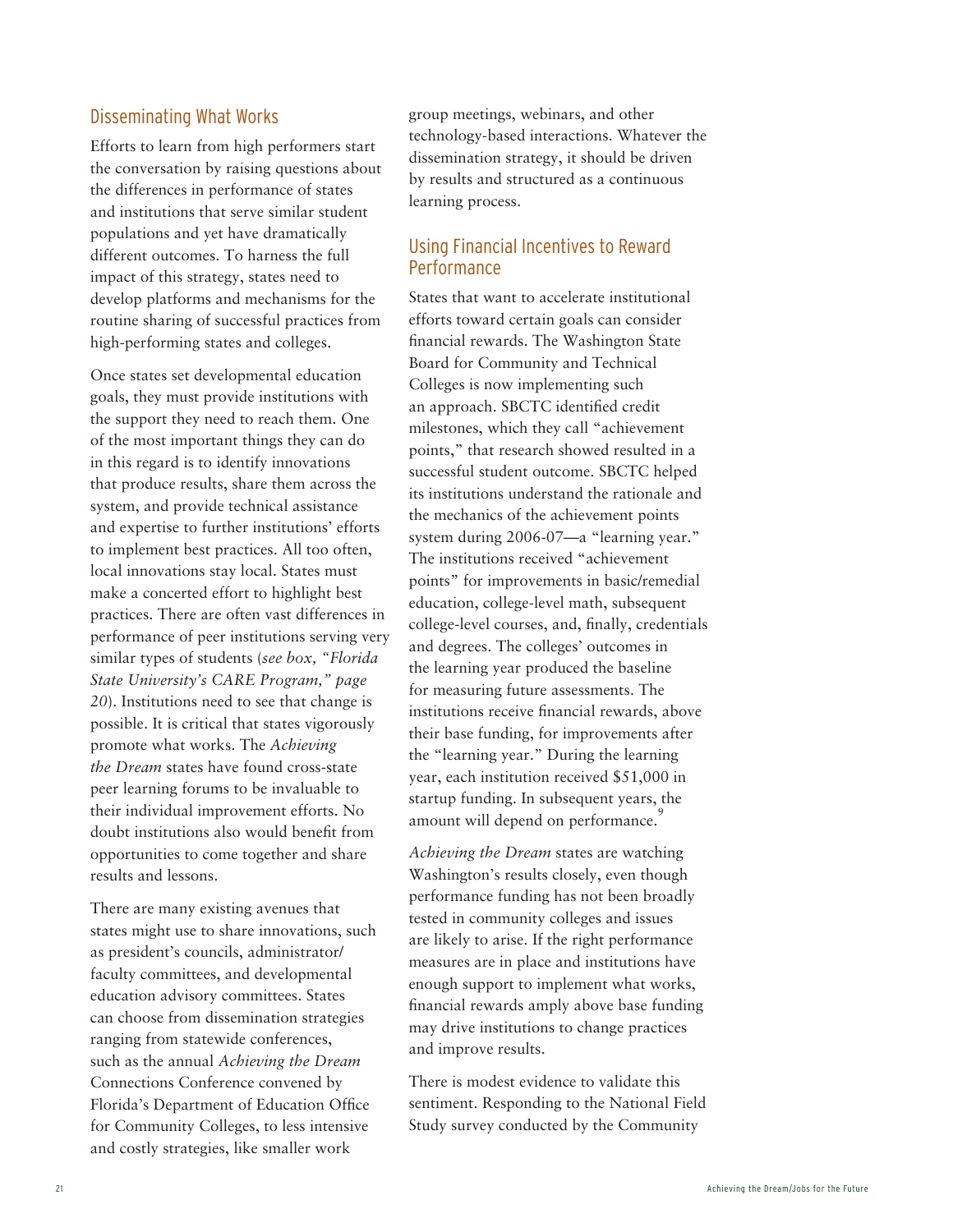#### Disseminating What Works

Efforts to learn from high performers start the conversation by raising questions about the differences in performance of states and institutions that serve similar student populations and yet have dramatically different outcomes. To harness the full impact of this strategy, states need to develop platforms and mechanisms for the routine sharing of successful practices from high-performing states and colleges.

Once states set developmental education goals, they must provide institutions with the support they need to reach them. One of the most important things they can do in this regard is to identify innovations that produce results, share them across the system, and provide technical assistance and expertise to further institutions' efforts to implement best practices. All too often, local innovations stay local. States must make a concerted effort to highlight best practices. There are often vast differences in performance of peer institutions serving very similar types of students (*see box, "Florida State University's CARE Program," page 20*). Institutions need to see that change is possible. It is critical that states vigorously promote what works. The *Achieving the Dream* states have found cross-state peer learning forums to be invaluable to their individual improvement efforts. No doubt institutions also would benefit from opportunities to come together and share results and lessons.

There are many existing avenues that states might use to share innovations, such as president's councils, administrator/ faculty committees, and developmental education advisory committees. States can choose from dissemination strategies ranging from statewide conferences, such as the annual *Achieving the Dream* Connections Conference convened by Florida's Department of Education Office for Community Colleges, to less intensive and costly strategies, like smaller work

group meetings, webinars, and other technology-based interactions. Whatever the dissemination strategy, it should be driven by results and structured as a continuous learning process.

#### Using Financial Incentives to Reward Performance

States that want to accelerate institutional efforts toward certain goals can consider financial rewards. The Washington State Board for Community and Technical Colleges is now implementing such an approach. SBCTC identified credit milestones, which they call "achievement points," that research showed resulted in a successful student outcome. SBCTC helped its institutions understand the rationale and the mechanics of the achievement points system during 2006-07—a "learning year." The institutions received "achievement points" for improvements in basic/remedial education, college-level math, subsequent college-level courses, and, finally, credentials and degrees. The colleges' outcomes in the learning year produced the baseline for measuring future assessments. The institutions receive financial rewards, above their base funding, for improvements after the "learning year." During the learning year, each institution received \$51,000 in startup funding. In subsequent years, the amount will depend on performance.

*Achieving the Dream* states are watching Washington's results closely, even though performance funding has not been broadly tested in community colleges and issues are likely to arise. If the right performance measures are in place and institutions have enough support to implement what works, financial rewards amply above base funding may drive institutions to change practices and improve results.

There is modest evidence to validate this sentiment. Responding to the National Field Study survey conducted by the Community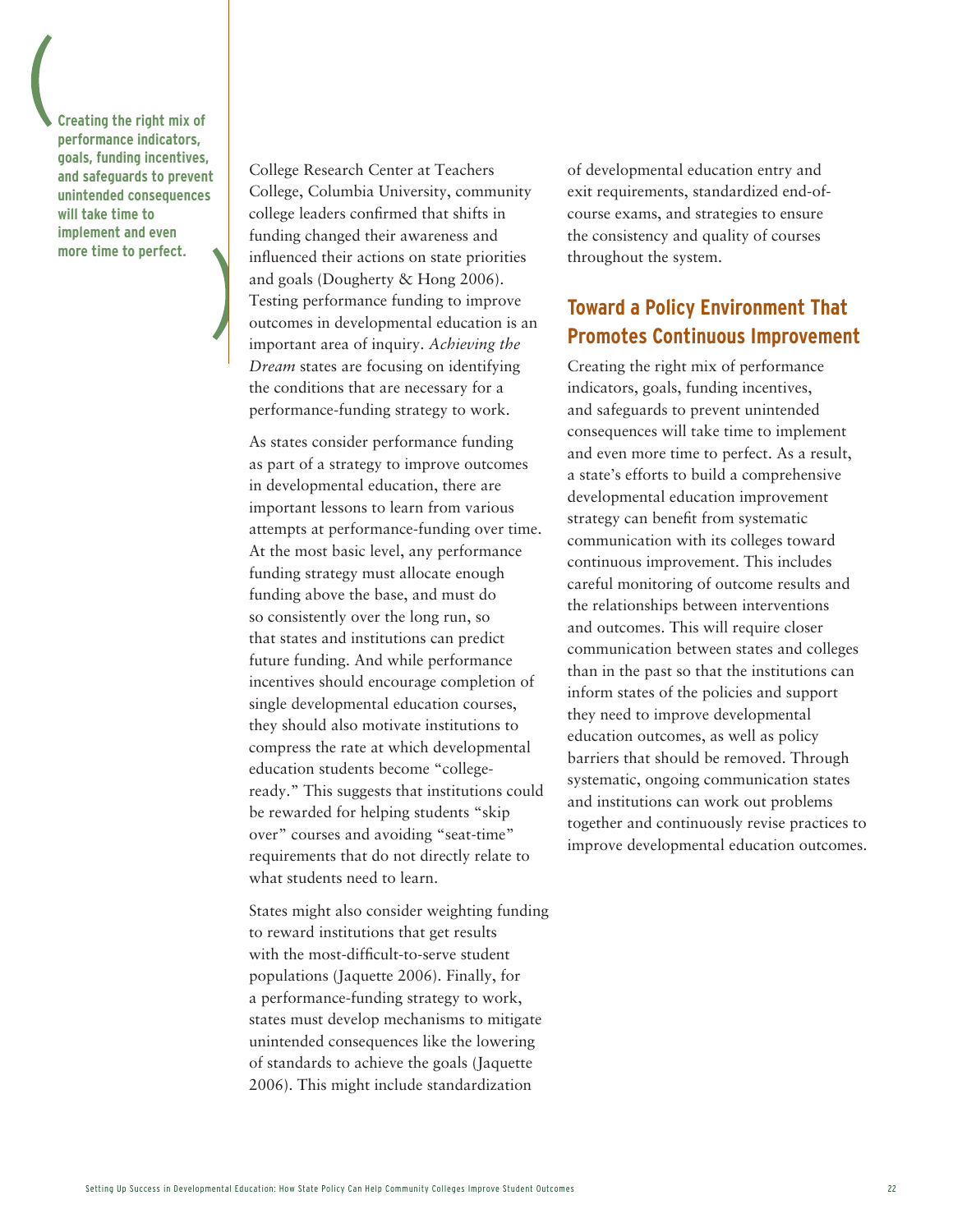**Creating the right mix of performance indicators, goals, funding incentives, and safeguards to prevent unintended consequences will take time to implement and even more time to perfect.**

College Research Center at Teachers College, Columbia University, community college leaders confirmed that shifts in funding changed their awareness and influenced their actions on state priorities and goals (Dougherty & Hong 2006). Testing performance funding to improve outcomes in developmental education is an important area of inquiry. *Achieving the Dream* states are focusing on identifying the conditions that are necessary for a performance-funding strategy to work.

As states consider performance funding as part of a strategy to improve outcomes in developmental education, there are important lessons to learn from various attempts at performance-funding over time. At the most basic level, any performance funding strategy must allocate enough funding above the base, and must do so consistently over the long run, so that states and institutions can predict future funding. And while performance incentives should encourage completion of single developmental education courses, they should also motivate institutions to compress the rate at which developmental education students become "collegeready." This suggests that institutions could be rewarded for helping students "skip over" courses and avoiding "seat-time" requirements that do not directly relate to what students need to learn.

States might also consider weighting funding to reward institutions that get results with the most-difficult-to-serve student populations (Jaquette 2006). Finally, for a performance-funding strategy to work, states must develop mechanisms to mitigate unintended consequences like the lowering of standards to achieve the goals (Jaquette 2006). This might include standardization

of developmental education entry and exit requirements, standardized end-ofcourse exams, and strategies to ensure the consistency and quality of courses throughout the system.

### **Toward a Policy Environment That Promotes Continuous Improvement**

Creating the right mix of performance indicators, goals, funding incentives, and safeguards to prevent unintended consequences will take time to implement and even more time to perfect. As a result, a state's efforts to build a comprehensive developmental education improvement strategy can benefit from systematic communication with its colleges toward continuous improvement. This includes careful monitoring of outcome results and the relationships between interventions and outcomes. This will require closer communication between states and colleges than in the past so that the institutions can inform states of the policies and support they need to improve developmental education outcomes, as well as policy barriers that should be removed. Through systematic, ongoing communication states and institutions can work out problems together and continuously revise practices to improve developmental education outcomes.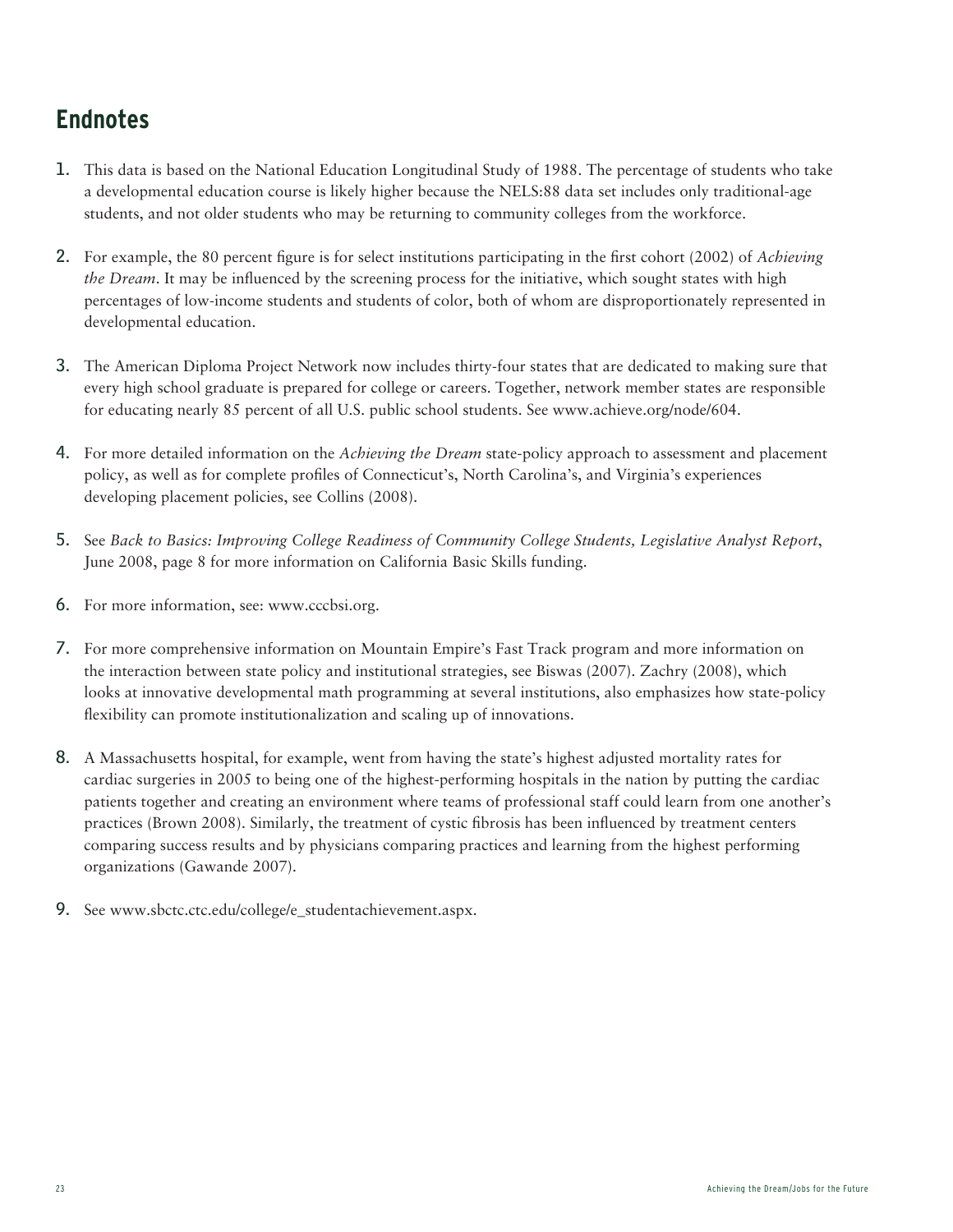# **Endnotes**

- 1. This data is based on the National Education Longitudinal Study of 1988. The percentage of students who take a developmental education course is likely higher because the NELS:88 data set includes only traditional-age students, and not older students who may be returning to community colleges from the workforce.
- 2. For example, the 80 percent figure is for select institutions participating in the first cohort (2002) of *Achieving the Dream*. It may be influenced by the screening process for the initiative, which sought states with high percentages of low-income students and students of color, both of whom are disproportionately represented in developmental education.
- 3. The American Diploma Project Network now includes thirty-four states that are dedicated to making sure that every high school graduate is prepared for college or careers. Together, network member states are responsible for educating nearly 85 percent of all U.S. public school students. See www.achieve.org/node/604.
- 4. For more detailed information on the *Achieving the Dream* state-policy approach to assessment and placement policy, as well as for complete profiles of Connecticut's, North Carolina's, and Virginia's experiences developing placement policies, see Collins (2008).
- 5. See *Back to Basics: Improving College Readiness of Community College Students, Legislative Analyst Report*, June 2008, page 8 for more information on California Basic Skills funding.
- 6. For more information, see: www.cccbsi.org.
- 7. For more comprehensive information on Mountain Empire's Fast Track program and more information on the interaction between state policy and institutional strategies, see Biswas (2007). Zachry (2008), which looks at innovative developmental math programming at several institutions, also emphasizes how state-policy flexibility can promote institutionalization and scaling up of innovations.
- 8. A Massachusetts hospital, for example, went from having the state's highest adjusted mortality rates for cardiac surgeries in 2005 to being one of the highest-performing hospitals in the nation by putting the cardiac patients together and creating an environment where teams of professional staff could learn from one another's practices (Brown 2008). Similarly, the treatment of cystic fibrosis has been influenced by treatment centers comparing success results and by physicians comparing practices and learning from the highest performing organizations (Gawande 2007).
- 9. See www.sbctc.ctc.edu/college/e\_studentachievement.aspx.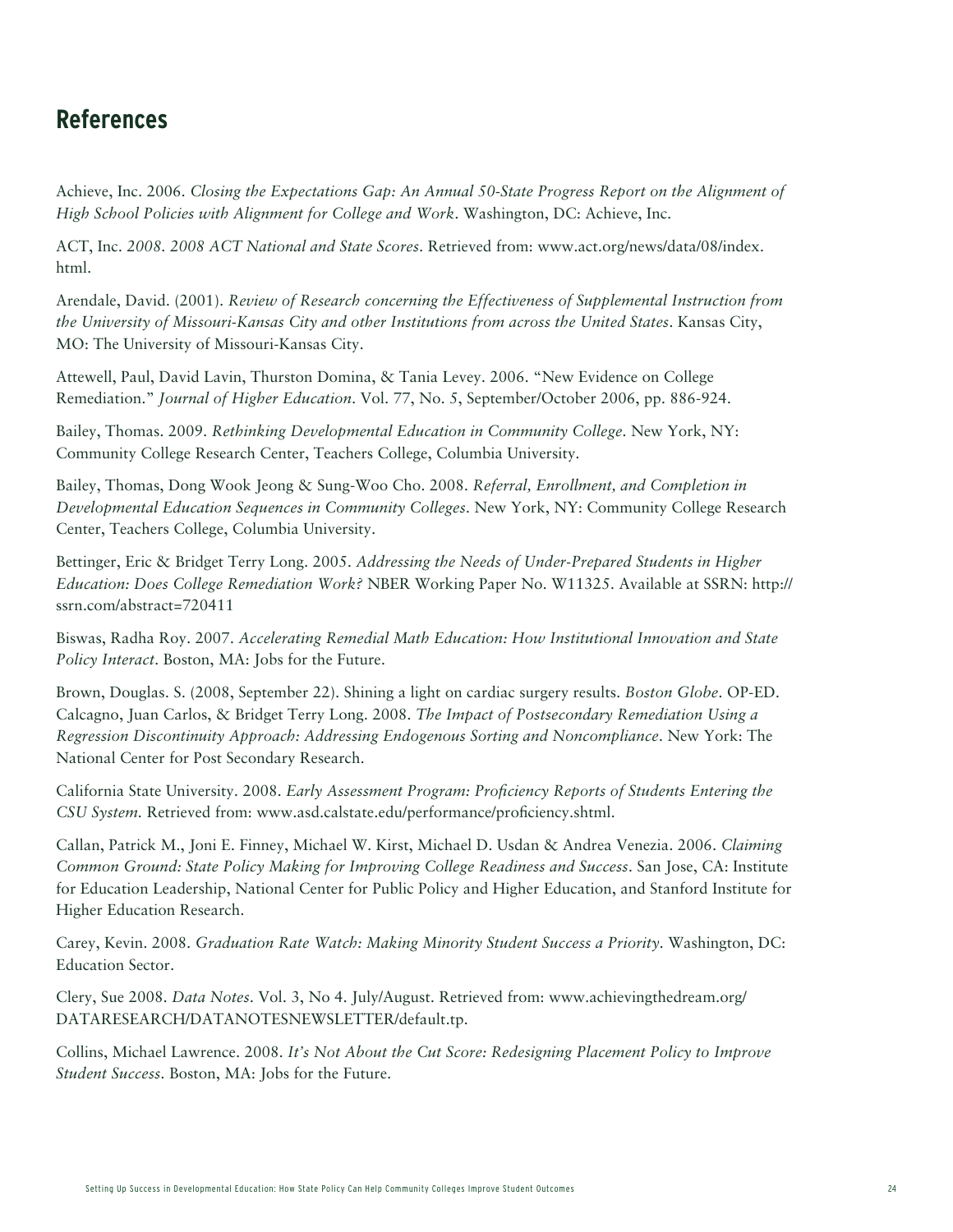### **References**

Achieve, Inc. 2006. *Closing the Expectations Gap: An Annual 50-State Progress Report on the Alignment of High School Policies with Alignment for College and Work*. Washington, DC: Achieve, Inc.

ACT, Inc. *2008. 2008 ACT National and State Scores*. Retrieved from: www.act.org/news/data/08/index. html.

Arendale, David. (2001). *Review of Research concerning the Effectiveness of Supplemental Instruction from the University of Missouri-Kansas City and other Institutions from across the United States*. Kansas City, MO: The University of Missouri-Kansas City.

Attewell, Paul, David Lavin, Thurston Domina, & Tania Levey. 2006. "New Evidence on College Remediation." *Journal of Higher Education*. Vol. 77, No. 5, September/October 2006, pp. 886-924.

Bailey, Thomas. 2009. *Rethinking Developmental Education in Community College*. New York, NY: Community College Research Center, Teachers College, Columbia University.

Bailey, Thomas, Dong Wook Jeong & Sung-Woo Cho. 2008. *Referral, Enrollment, and Completion in Developmental Education Sequences in Community Colleges*. New York, NY: Community College Research Center, Teachers College, Columbia University.

Bettinger, Eric & Bridget Terry Long. 2005. *Addressing the Needs of Under-Prepared Students in Higher Education: Does College Remediation Work?* NBER Working Paper No. W11325. Available at SSRN: http:// ssrn.com/abstract=720411

Biswas, Radha Roy. 2007. *Accelerating Remedial Math Education: How Institutional Innovation and State Policy Interact*. Boston, MA: Jobs for the Future.

Brown, Douglas. S. (2008, September 22). Shining a light on cardiac surgery results. *Boston Globe*. OP-ED. Calcagno, Juan Carlos, & Bridget Terry Long. 2008. *The Impact of Postsecondary Remediation Using a Regression Discontinuity Approach: Addressing Endogenous Sorting and Noncompliance*. New York: The National Center for Post Secondary Research.

California State University. 2008. *Early Assessment Program: Proficiency Reports of Students Entering the CSU System.* Retrieved from: www.asd.calstate.edu/performance/proficiency.shtml.

Callan, Patrick M., Joni E. Finney, Michael W. Kirst, Michael D. Usdan & Andrea Venezia. 2006. *Claiming Common Ground: State Policy Making for Improving College Readiness and Success*. San Jose, CA: Institute for Education Leadership, National Center for Public Policy and Higher Education, and Stanford Institute for Higher Education Research.

Carey, Kevin. 2008. *Graduation Rate Watch: Making Minority Student Success a Priority*. Washington, DC: Education Sector.

Clery, Sue 2008. *Data Notes*. Vol. 3, No 4. July/August. Retrieved from: www.achievingthedream.org/ DATARESEARCH/DATANOTESNEWSLETTER/default.tp.

Collins, Michael Lawrence. 2008. *It's Not About the Cut Score: Redesigning Placement Policy to Improve Student Success*. Boston, MA: Jobs for the Future.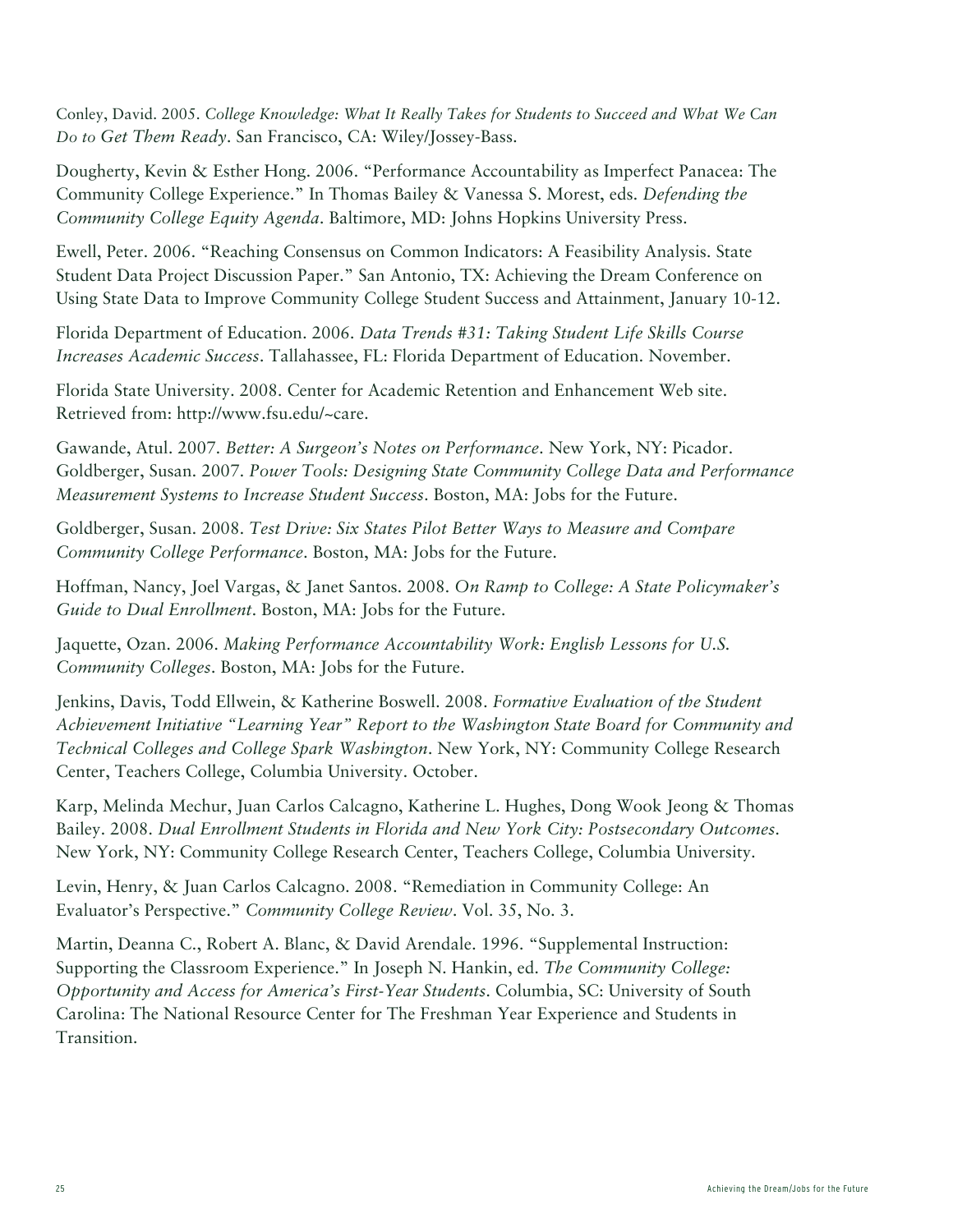Conley, David. 2005. *College Knowledge: What It Really Takes for Students to Succeed and What We Can Do to Get Them Ready*. San Francisco, CA: Wiley/Jossey-Bass.

Dougherty, Kevin & Esther Hong. 2006. "Performance Accountability as Imperfect Panacea: The Community College Experience." In Thomas Bailey & Vanessa S. Morest, eds. *Defending the Community College Equity Agenda*. Baltimore, MD: Johns Hopkins University Press.

Ewell, Peter. 2006. "Reaching Consensus on Common Indicators: A Feasibility Analysis. State Student Data Project Discussion Paper." San Antonio, TX: Achieving the Dream Conference on Using State Data to Improve Community College Student Success and Attainment, January 10-12.

Florida Department of Education. 2006. *Data Trends #31: Taking Student Life Skills Course Increases Academic Success*. Tallahassee, FL: Florida Department of Education. November.

Florida State University. 2008. Center for Academic Retention and Enhancement Web site. Retrieved from: http://www.fsu.edu/~care.

Gawande, Atul. 2007. *Better: A Surgeon's Notes on Performance*. New York, NY: Picador. Goldberger, Susan. 2007. *Power Tools: Designing State Community College Data and Performance Measurement Systems to Increase Student Success*. Boston, MA: Jobs for the Future.

Goldberger, Susan. 2008. *Test Drive: Six States Pilot Better Ways to Measure and Compare Community College Performance*. Boston, MA: Jobs for the Future.

Hoffman, Nancy, Joel Vargas, & Janet Santos. 2008. *On Ramp to College: A State Policymaker's Guide to Dual Enrollment*. Boston, MA: Jobs for the Future.

Jaquette, Ozan. 2006. *Making Performance Accountability Work: English Lessons for U.S. Community Colleges*. Boston, MA: Jobs for the Future.

Jenkins, Davis, Todd Ellwein, & Katherine Boswell. 2008. *Formative Evaluation of the Student Achievement Initiative "Learning Year" Report to the Washington State Board for Community and Technical Colleges and College Spark Washington*. New York, NY: Community College Research Center, Teachers College, Columbia University. October.

Karp, Melinda Mechur, Juan Carlos Calcagno, Katherine L. Hughes, Dong Wook Jeong & Thomas Bailey. 2008. *Dual Enrollment Students in Florida and New York City: Postsecondary Outcomes*. New York, NY: Community College Research Center, Teachers College, Columbia University.

Levin, Henry, & Juan Carlos Calcagno. 2008. "Remediation in Community College: An Evaluator's Perspective." *Community College Review*. Vol. 35, No. 3.

Martin, Deanna C., Robert A. Blanc, & David Arendale. 1996. "Supplemental Instruction: Supporting the Classroom Experience." In Joseph N. Hankin, ed. *The Community College: Opportunity and Access for America's First-Year Students*. Columbia, SC: University of South Carolina: The National Resource Center for The Freshman Year Experience and Students in Transition.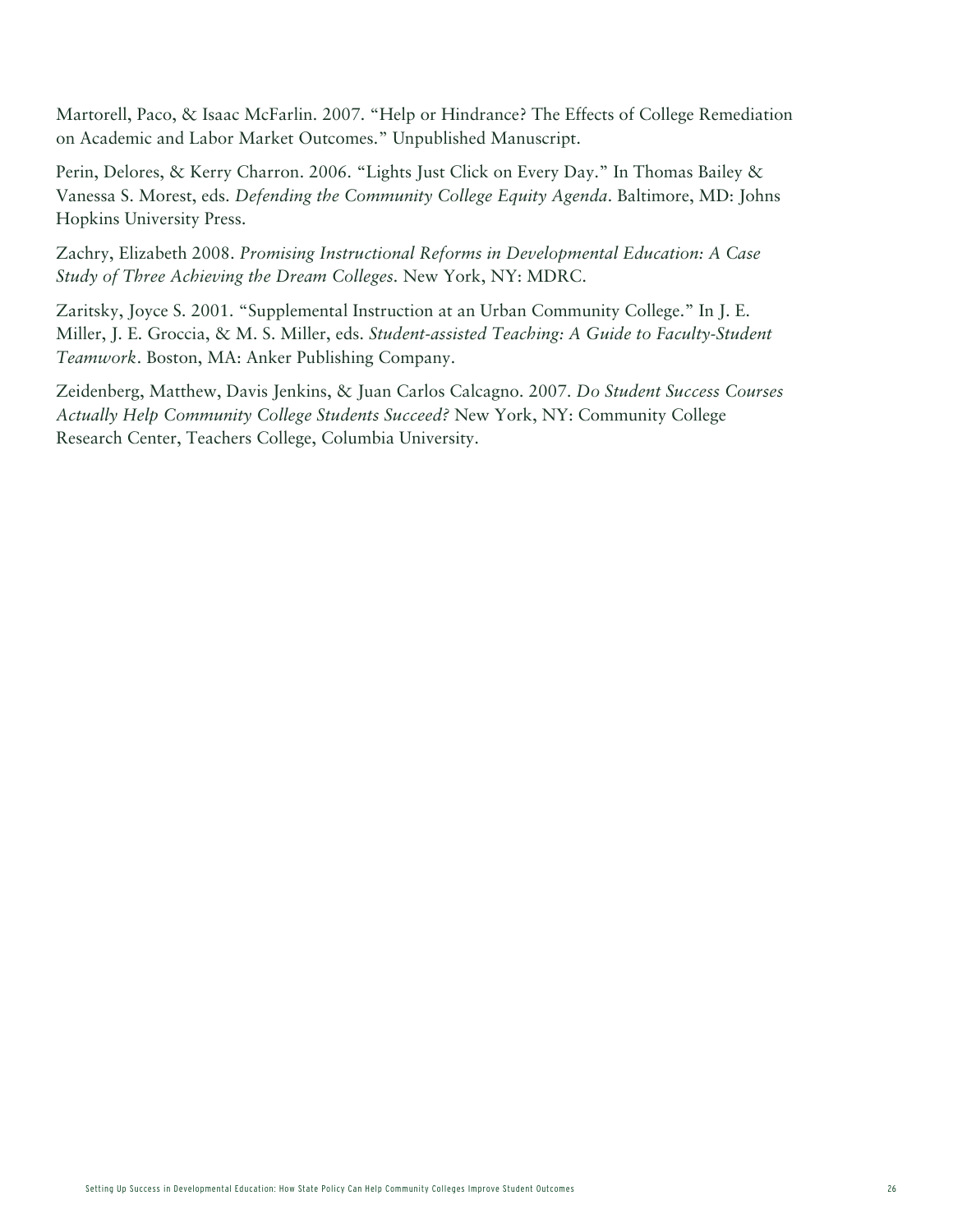Martorell, Paco, & Isaac McFarlin. 2007. "Help or Hindrance? The Effects of College Remediation on Academic and Labor Market Outcomes." Unpublished Manuscript.

Perin, Delores, & Kerry Charron. 2006. "Lights Just Click on Every Day." In Thomas Bailey & Vanessa S. Morest, eds. *Defending the Community College Equity Agenda*. Baltimore, MD: Johns Hopkins University Press.

Zachry, Elizabeth 2008. *Promising Instructional Reforms in Developmental Education: A Case Study of Three Achieving the Dream Colleges.* New York, NY: MDRC.

Zaritsky, Joyce S. 2001. "Supplemental Instruction at an Urban Community College." In J. E. Miller, J. E. Groccia, & M. S. Miller, eds. *Student-assisted Teaching: A Guide to Faculty-Student Teamwork*. Boston, MA: Anker Publishing Company.

Zeidenberg, Matthew, Davis Jenkins, & Juan Carlos Calcagno. 2007. *Do Student Success Courses Actually Help Community College Students Succeed?* New York, NY: Community College Research Center, Teachers College, Columbia University.